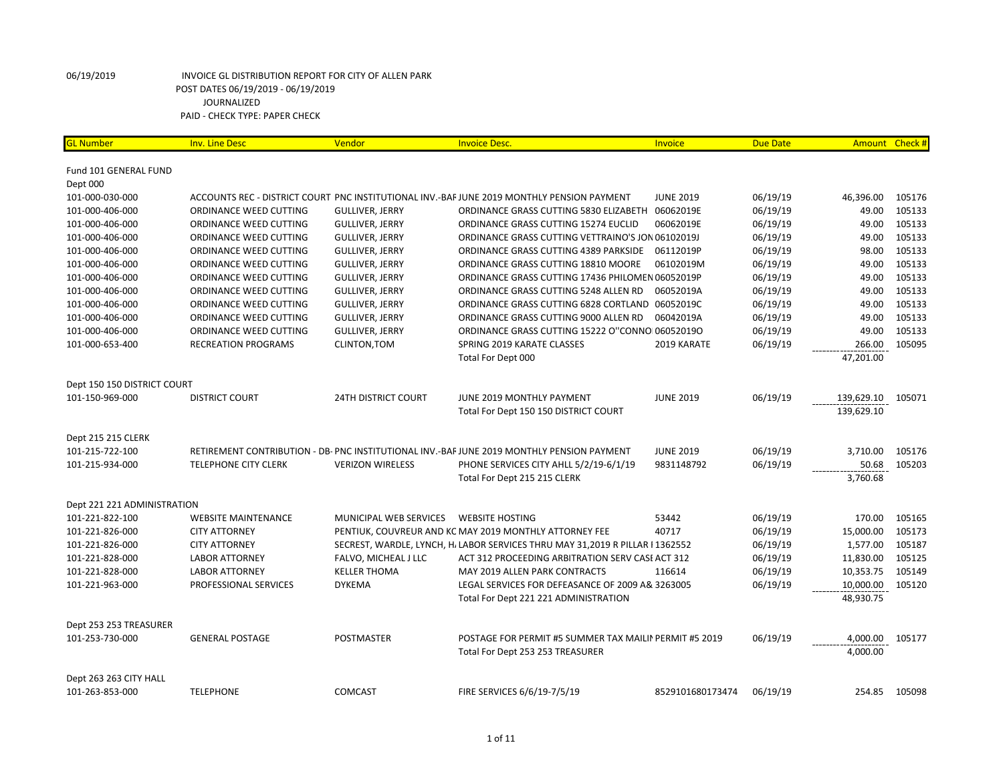| <b>GL Number</b>                   | <b>Inv. Line Desc</b>                            | Vendor                     | <b>Invoice Desc.</b>                                                                       | Invoice          | <b>Due Date</b> | Amount Check # |        |
|------------------------------------|--------------------------------------------------|----------------------------|--------------------------------------------------------------------------------------------|------------------|-----------------|----------------|--------|
|                                    |                                                  |                            |                                                                                            |                  |                 |                |        |
| Fund 101 GENERAL FUND              |                                                  |                            |                                                                                            |                  |                 |                |        |
| Dept 000<br>101-000-030-000        |                                                  |                            | ACCOUNTS REC - DISTRICT COURT PNC INSTITUTIONAL INV.-BAF JUNE 2019 MONTHLY PENSION PAYMENT | <b>JUNE 2019</b> | 06/19/19        | 46,396.00      | 105176 |
| 101-000-406-000                    | ORDINANCE WEED CUTTING                           | <b>GULLIVER, JERRY</b>     | ORDINANCE GRASS CUTTING 5830 ELIZABETH                                                     | 06062019E        | 06/19/19        | 49.00          | 105133 |
| 101-000-406-000                    | ORDINANCE WEED CUTTING                           | <b>GULLIVER, JERRY</b>     | ORDINANCE GRASS CUTTING 15274 EUCLID                                                       | 06062019E        | 06/19/19        | 49.00          | 105133 |
| 101-000-406-000                    | ORDINANCE WEED CUTTING                           | <b>GULLIVER, JERRY</b>     | ORDINANCE GRASS CUTTING VETTRAINO'S JON 06102019J                                          |                  | 06/19/19        | 49.00          | 105133 |
| 101-000-406-000                    | ORDINANCE WEED CUTTING                           | <b>GULLIVER, JERRY</b>     | ORDINANCE GRASS CUTTING 4389 PARKSIDE                                                      | 06112019P        | 06/19/19        | 98.00          | 105133 |
|                                    |                                                  | <b>GULLIVER, JERRY</b>     | ORDINANCE GRASS CUTTING 18810 MOORE                                                        |                  | 06/19/19        | 49.00          | 105133 |
| 101-000-406-000<br>101-000-406-000 | ORDINANCE WEED CUTTING<br>ORDINANCE WEED CUTTING |                            | ORDINANCE GRASS CUTTING 17436 PHILOMEN 06052019P                                           | 06102019M        | 06/19/19        | 49.00          | 105133 |
|                                    |                                                  | <b>GULLIVER, JERRY</b>     |                                                                                            |                  |                 | 49.00          | 105133 |
| 101-000-406-000                    | ORDINANCE WEED CUTTING                           | <b>GULLIVER, JERRY</b>     | ORDINANCE GRASS CUTTING 5248 ALLEN RD                                                      | 06052019A        | 06/19/19        | 49.00          | 105133 |
| 101-000-406-000                    | ORDINANCE WEED CUTTING                           | <b>GULLIVER, JERRY</b>     | ORDINANCE GRASS CUTTING 6828 CORTLAND 06052019C                                            |                  | 06/19/19        |                |        |
| 101-000-406-000                    | ORDINANCE WEED CUTTING                           | <b>GULLIVER, JERRY</b>     | ORDINANCE GRASS CUTTING 9000 ALLEN RD                                                      | 06042019A        | 06/19/19        | 49.00          | 105133 |
| 101-000-406-000                    | ORDINANCE WEED CUTTING                           | <b>GULLIVER, JERRY</b>     | ORDINANCE GRASS CUTTING 15222 O"CONNO 06052019O                                            |                  | 06/19/19        | 49.00          | 105133 |
| 101-000-653-400                    | <b>RECREATION PROGRAMS</b>                       | CLINTON, TOM               | SPRING 2019 KARATE CLASSES                                                                 | 2019 KARATE      | 06/19/19        | 266.00         | 105095 |
|                                    |                                                  |                            | Total For Dept 000                                                                         |                  |                 | 47,201.00      |        |
| Dept 150 150 DISTRICT COURT        |                                                  |                            |                                                                                            |                  |                 |                |        |
| 101-150-969-000                    | <b>DISTRICT COURT</b>                            | <b>24TH DISTRICT COURT</b> | JUNE 2019 MONTHLY PAYMENT                                                                  | <b>JUNE 2019</b> | 06/19/19        | 139,629.10     | 105071 |
|                                    |                                                  |                            | Total For Dept 150 150 DISTRICT COURT                                                      |                  |                 | 139,629.10     |        |
| Dept 215 215 CLERK                 |                                                  |                            |                                                                                            |                  |                 |                |        |
| 101-215-722-100                    |                                                  |                            | RETIREMENT CONTRIBUTION - DB- PNC INSTITUTIONAL INV.-BAF JUNE 2019 MONTHLY PENSION PAYMENT |                  | 06/19/19        | 3,710.00       | 105176 |
|                                    |                                                  |                            |                                                                                            | <b>JUNE 2019</b> | 06/19/19        | 50.68          | 105203 |
| 101-215-934-000                    | <b>TELEPHONE CITY CLERK</b>                      | <b>VERIZON WIRELESS</b>    | PHONE SERVICES CITY AHLL 5/2/19-6/1/19                                                     | 9831148792       |                 | 3,760.68       |        |
|                                    |                                                  |                            | Total For Dept 215 215 CLERK                                                               |                  |                 |                |        |
| Dept 221 221 ADMINISTRATION        |                                                  |                            |                                                                                            |                  |                 |                |        |
| 101-221-822-100                    | <b>WEBSITE MAINTENANCE</b>                       | MUNICIPAL WEB SERVICES     | <b>WEBSITE HOSTING</b>                                                                     | 53442            | 06/19/19        | 170.00         | 105165 |
| 101-221-826-000                    | <b>CITY ATTORNEY</b>                             |                            | PENTIUK, COUVREUR AND KC MAY 2019 MONTHLY ATTORNEY FEE                                     | 40717            | 06/19/19        | 15,000.00      | 105173 |
| 101-221-826-000                    | <b>CITY ATTORNEY</b>                             |                            | SECREST, WARDLE, LYNCH, H. LABOR SERVICES THRU MAY 31,2019 R PILLAR I 1362552              |                  | 06/19/19        | 1,577.00       | 105187 |
| 101-221-828-000                    | <b>LABOR ATTORNEY</b>                            | FALVO, MICHEAL J LLC       | ACT 312 PROCEEDING ARBITRATION SERV CASI ACT 312                                           |                  | 06/19/19        | 11,830.00      | 105125 |
| 101-221-828-000                    | <b>LABOR ATTORNEY</b>                            | <b>KELLER THOMA</b>        | <b>MAY 2019 ALLEN PARK CONTRACTS</b>                                                       | 116614           | 06/19/19        | 10,353.75      | 105149 |
| 101-221-963-000                    | PROFESSIONAL SERVICES                            | <b>DYKEMA</b>              | LEGAL SERVICES FOR DEFEASANCE OF 2009 A& 3263005                                           |                  | 06/19/19        | 10,000.00      | 105120 |
|                                    |                                                  |                            | Total For Dept 221 221 ADMINISTRATION                                                      |                  |                 | 48,930.75      |        |
|                                    |                                                  |                            |                                                                                            |                  |                 |                |        |
| Dept 253 253 TREASURER             |                                                  |                            |                                                                                            |                  | 06/19/19        |                |        |
| 101-253-730-000                    | <b>GENERAL POSTAGE</b>                           | POSTMASTER                 | POSTAGE FOR PERMIT #5 SUMMER TAX MAILIN PERMIT #5 2019                                     |                  |                 | 4,000.00       | 105177 |
|                                    |                                                  |                            | Total For Dept 253 253 TREASURER                                                           |                  |                 | 4,000.00       |        |
| Dept 263 263 CITY HALL             |                                                  |                            |                                                                                            |                  |                 |                |        |
| 101-263-853-000                    | <b>TELEPHONE</b>                                 | <b>COMCAST</b>             | FIRE SERVICES 6/6/19-7/5/19                                                                | 8529101680173474 | 06/19/19        | 254.85         | 105098 |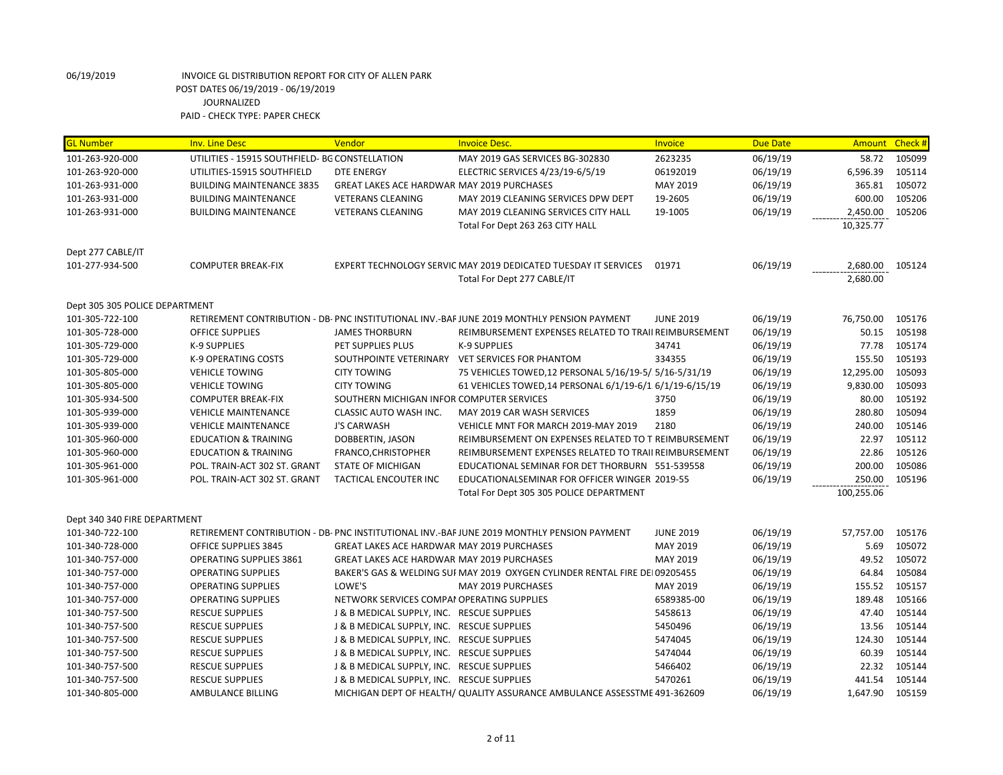| <b>GL Number</b>               | <b>Inv. Line Desc</b>                          | Vendor                                            | <b>Invoice Desc.</b>                                                                       | Invoice          | <b>Due Date</b> | Amount     | Check # |
|--------------------------------|------------------------------------------------|---------------------------------------------------|--------------------------------------------------------------------------------------------|------------------|-----------------|------------|---------|
| 101-263-920-000                | UTILITIES - 15915 SOUTHFIELD- BG CONSTELLATION |                                                   | MAY 2019 GAS SERVICES BG-302830                                                            | 2623235          | 06/19/19        | 58.72      | 105099  |
| 101-263-920-000                | UTILITIES-15915 SOUTHFIELD                     | <b>DTE ENERGY</b>                                 | ELECTRIC SERVICES 4/23/19-6/5/19                                                           | 06192019         | 06/19/19        | 6,596.39   | 105114  |
| 101-263-931-000                | <b>BUILDING MAINTENANCE 3835</b>               | GREAT LAKES ACE HARDWAR MAY 2019 PURCHASES        |                                                                                            | MAY 2019         | 06/19/19        | 365.81     | 105072  |
| 101-263-931-000                | <b>BUILDING MAINTENANCE</b>                    | <b>VETERANS CLEANING</b>                          | MAY 2019 CLEANING SERVICES DPW DEPT                                                        | 19-2605          | 06/19/19        | 600.00     | 105206  |
| 101-263-931-000                | <b>BUILDING MAINTENANCE</b>                    | <b>VETERANS CLEANING</b>                          | MAY 2019 CLEANING SERVICES CITY HALL                                                       | 19-1005          | 06/19/19        | 2,450.00   | 105206  |
|                                |                                                |                                                   | Total For Dept 263 263 CITY HALL                                                           |                  |                 | 10,325.77  |         |
| Dept 277 CABLE/IT              |                                                |                                                   |                                                                                            |                  |                 |            |         |
| 101-277-934-500                | <b>COMPUTER BREAK-FIX</b>                      |                                                   | EXPERT TECHNOLOGY SERVIC MAY 2019 DEDICATED TUESDAY IT SERVICES                            | 01971            | 06/19/19        | 2,680.00   | 105124  |
|                                |                                                |                                                   | Total For Dept 277 CABLE/IT                                                                |                  |                 | 2,680.00   |         |
| Dept 305 305 POLICE DEPARTMENT |                                                |                                                   |                                                                                            |                  |                 |            |         |
| 101-305-722-100                |                                                |                                                   | RETIREMENT CONTRIBUTION - DB- PNC INSTITUTIONAL INV.-BAF JUNE 2019 MONTHLY PENSION PAYMENT | <b>JUNE 2019</b> | 06/19/19        | 76,750.00  | 105176  |
| 101-305-728-000                | <b>OFFICE SUPPLIES</b>                         | <b>JAMES THORBURN</b>                             | REIMBURSEMENT EXPENSES RELATED TO TRAII REIMBURSEMENT                                      |                  | 06/19/19        | 50.15      | 105198  |
| 101-305-729-000                | K-9 SUPPLIES                                   | PET SUPPLIES PLUS                                 | <b>K-9 SUPPLIES</b>                                                                        | 34741            | 06/19/19        | 77.78      | 105174  |
| 101-305-729-000                | K-9 OPERATING COSTS                            |                                                   | SOUTHPOINTE VETERINARY VET SERVICES FOR PHANTOM                                            | 334355           | 06/19/19        | 155.50     | 105193  |
| 101-305-805-000                | <b>VEHICLE TOWING</b>                          | <b>CITY TOWING</b>                                | 75 VEHICLES TOWED, 12 PERSONAL 5/16/19-5/ 5/16-5/31/19                                     |                  | 06/19/19        | 12,295.00  | 105093  |
| 101-305-805-000                | <b>VEHICLE TOWING</b>                          | <b>CITY TOWING</b>                                | 61 VEHICLES TOWED, 14 PERSONAL 6/1/19-6/1 6/1/19-6/15/19                                   |                  | 06/19/19        | 9,830.00   | 105093  |
| 101-305-934-500                | <b>COMPUTER BREAK-FIX</b>                      | SOUTHERN MICHIGAN INFOR COMPUTER SERVICES         |                                                                                            | 3750             | 06/19/19        | 80.00      | 105192  |
| 101-305-939-000                | <b>VEHICLE MAINTENANCE</b>                     | CLASSIC AUTO WASH INC.                            | MAY 2019 CAR WASH SERVICES                                                                 | 1859             | 06/19/19        | 280.80     | 105094  |
| 101-305-939-000                | <b>VEHICLE MAINTENANCE</b>                     | <b>J'S CARWASH</b>                                | VEHICLE MNT FOR MARCH 2019-MAY 2019                                                        | 2180             | 06/19/19        | 240.00     | 105146  |
| 101-305-960-000                | <b>EDUCATION &amp; TRAINING</b>                | DOBBERTIN, JASON                                  | REIMBURSEMENT ON EXPENSES RELATED TO T REIMBURSEMENT                                       |                  | 06/19/19        | 22.97      | 105112  |
| 101-305-960-000                | <b>EDUCATION &amp; TRAINING</b>                | FRANCO, CHRISTOPHER                               | REIMBURSEMENT EXPENSES RELATED TO TRAII REIMBURSEMENT                                      |                  | 06/19/19        | 22.86      | 105126  |
| 101-305-961-000                | POL. TRAIN-ACT 302 ST. GRANT                   | <b>STATE OF MICHIGAN</b>                          | EDUCATIONAL SEMINAR FOR DET THORBURN 551-539558                                            |                  | 06/19/19        | 200.00     | 105086  |
| 101-305-961-000                | POL. TRAIN-ACT 302 ST. GRANT                   | TACTICAL ENCOUTER INC                             | EDUCATIONALSEMINAR FOR OFFICER WINGER 2019-55                                              |                  | 06/19/19        | 250.00     | 105196  |
|                                |                                                |                                                   | Total For Dept 305 305 POLICE DEPARTMENT                                                   |                  |                 | 100,255.06 |         |
| Dept 340 340 FIRE DEPARTMENT   |                                                |                                                   |                                                                                            |                  |                 |            |         |
| 101-340-722-100                |                                                |                                                   | RETIREMENT CONTRIBUTION - DB- PNC INSTITUTIONAL INV.-BAF JUNE 2019 MONTHLY PENSION PAYMENT | <b>JUNE 2019</b> | 06/19/19        | 57,757.00  | 105176  |
| 101-340-728-000                | <b>OFFICE SUPPLIES 3845</b>                    | GREAT LAKES ACE HARDWAR MAY 2019 PURCHASES        |                                                                                            | MAY 2019         | 06/19/19        | 5.69       | 105072  |
| 101-340-757-000                | OPERATING SUPPLIES 3861                        | <b>GREAT LAKES ACE HARDWAR MAY 2019 PURCHASES</b> |                                                                                            | MAY 2019         | 06/19/19        | 49.52      | 105072  |
| 101-340-757-000                | <b>OPERATING SUPPLIES</b>                      |                                                   | BAKER'S GAS & WELDING SUI MAY 2019 OXYGEN CYLINDER RENTAL FIRE DEI 09205455                |                  | 06/19/19        | 64.84      | 105084  |
| 101-340-757-000                | <b>OPERATING SUPPLIES</b>                      | LOWE'S                                            | MAY 2019 PURCHASES                                                                         | MAY 2019         | 06/19/19        | 155.52     | 105157  |
| 101-340-757-000                | <b>OPERATING SUPPLIES</b>                      | NETWORK SERVICES COMPAI OPERATING SUPPLIES        |                                                                                            | 6589385-00       | 06/19/19        | 189.48     | 105166  |
| 101-340-757-500                | <b>RESCUE SUPPLIES</b>                         | J & B MEDICAL SUPPLY, INC. RESCUE SUPPLIES        |                                                                                            | 5458613          | 06/19/19        | 47.40      | 105144  |
| 101-340-757-500                | <b>RESCUE SUPPLIES</b>                         | J & B MEDICAL SUPPLY, INC. RESCUE SUPPLIES        |                                                                                            | 5450496          | 06/19/19        | 13.56      | 105144  |
| 101-340-757-500                | <b>RESCUE SUPPLIES</b>                         | J & B MEDICAL SUPPLY, INC. RESCUE SUPPLIES        |                                                                                            | 5474045          | 06/19/19        | 124.30     | 105144  |
| 101-340-757-500                | <b>RESCUE SUPPLIES</b>                         | J & B MEDICAL SUPPLY, INC. RESCUE SUPPLIES        |                                                                                            | 5474044          | 06/19/19        | 60.39      | 105144  |
| 101-340-757-500                | <b>RESCUE SUPPLIES</b>                         | J & B MEDICAL SUPPLY, INC. RESCUE SUPPLIES        |                                                                                            | 5466402          | 06/19/19        | 22.32      | 105144  |
| 101-340-757-500                | <b>RESCUE SUPPLIES</b>                         | J & B MEDICAL SUPPLY, INC. RESCUE SUPPLIES        |                                                                                            | 5470261          | 06/19/19        | 441.54     | 105144  |
| 101-340-805-000                | AMBULANCE BILLING                              |                                                   | MICHIGAN DEPT OF HEALTH/ QUALITY ASSURANCE AMBULANCE ASSESSTME 491-362609                  |                  | 06/19/19        | 1,647.90   | 105159  |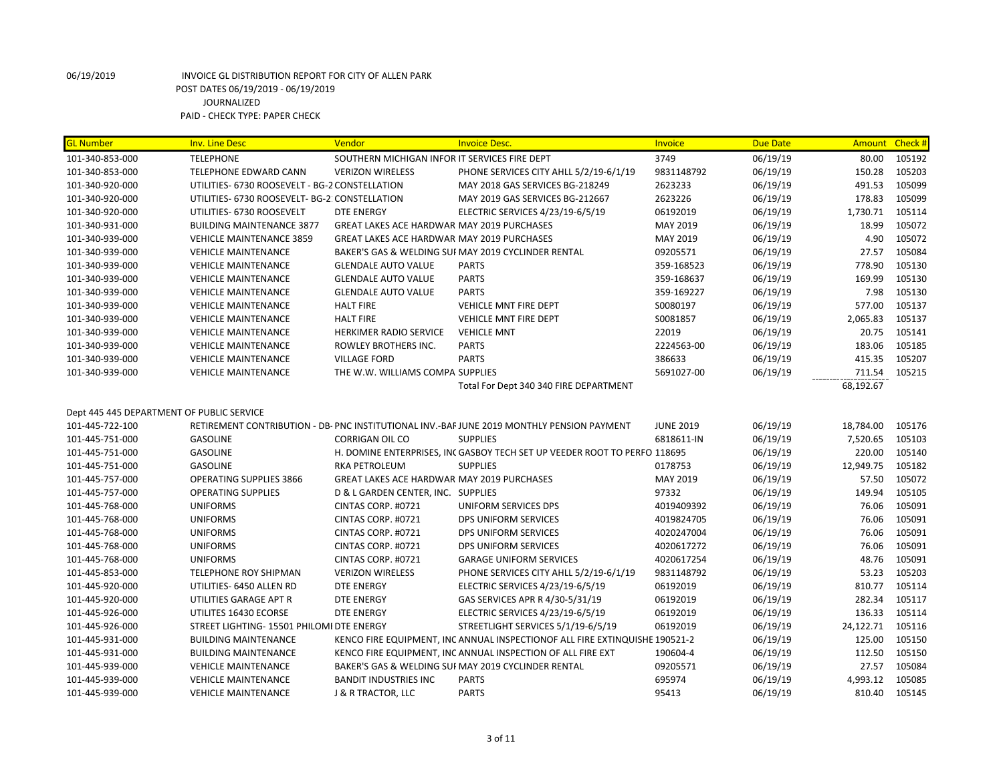| <b>GL Number</b>                          | <b>Inv. Line Desc</b>                          | Vendor                                        | <b>Invoice Desc.</b>                                                                       | Invoice          | <b>Due Date</b> | Amount    | Check # |
|-------------------------------------------|------------------------------------------------|-----------------------------------------------|--------------------------------------------------------------------------------------------|------------------|-----------------|-----------|---------|
| 101-340-853-000                           | <b>TELEPHONE</b>                               | SOUTHERN MICHIGAN INFOR IT SERVICES FIRE DEPT |                                                                                            | 3749             | 06/19/19        | 80.00     | 105192  |
| 101-340-853-000                           | <b>TELEPHONE EDWARD CANN</b>                   | <b>VERIZON WIRELESS</b>                       | PHONE SERVICES CITY AHLL 5/2/19-6/1/19                                                     | 9831148792       | 06/19/19        | 150.28    | 105203  |
| 101-340-920-000                           | UTILITIES- 6730 ROOSEVELT - BG-2 CONSTELLATION |                                               | MAY 2018 GAS SERVICES BG-218249                                                            | 2623233          | 06/19/19        | 491.53    | 105099  |
| 101-340-920-000                           | UTILITIES- 6730 ROOSEVELT- BG-2: CONSTELLATION |                                               | MAY 2019 GAS SERVICES BG-212667                                                            | 2623226          | 06/19/19        | 178.83    | 105099  |
| 101-340-920-000                           | UTILITIES- 6730 ROOSEVELT                      | <b>DTE ENERGY</b>                             | ELECTRIC SERVICES 4/23/19-6/5/19                                                           | 06192019         | 06/19/19        | 1,730.71  | 105114  |
| 101-340-931-000                           | <b>BUILDING MAINTENANCE 3877</b>               | GREAT LAKES ACE HARDWAR MAY 2019 PURCHASES    |                                                                                            | MAY 2019         | 06/19/19        | 18.99     | 105072  |
| 101-340-939-000                           | <b>VEHICLE MAINTENANCE 3859</b>                | GREAT LAKES ACE HARDWAR MAY 2019 PURCHASES    |                                                                                            | MAY 2019         | 06/19/19        | 4.90      | 105072  |
| 101-340-939-000                           | <b>VEHICLE MAINTENANCE</b>                     |                                               | BAKER'S GAS & WELDING SUI MAY 2019 CYCLINDER RENTAL                                        | 09205571         | 06/19/19        | 27.57     | 105084  |
| 101-340-939-000                           | <b>VEHICLE MAINTENANCE</b>                     | <b>GLENDALE AUTO VALUE</b>                    | <b>PARTS</b>                                                                               | 359-168523       | 06/19/19        | 778.90    | 105130  |
| 101-340-939-000                           | <b>VEHICLE MAINTENANCE</b>                     | <b>GLENDALE AUTO VALUE</b>                    | <b>PARTS</b>                                                                               | 359-168637       | 06/19/19        | 169.99    | 105130  |
| 101-340-939-000                           | <b>VEHICLE MAINTENANCE</b>                     | <b>GLENDALE AUTO VALUE</b>                    | <b>PARTS</b>                                                                               | 359-169227       | 06/19/19        | 7.98      | 105130  |
| 101-340-939-000                           | <b>VEHICLE MAINTENANCE</b>                     | <b>HALT FIRE</b>                              | VEHICLE MNT FIRE DEPT                                                                      | S0080197         | 06/19/19        | 577.00    | 105137  |
| 101-340-939-000                           | <b>VEHICLE MAINTENANCE</b>                     | <b>HALT FIRE</b>                              | <b>VEHICLE MNT FIRE DEPT</b>                                                               | S0081857         | 06/19/19        | 2,065.83  | 105137  |
| 101-340-939-000                           | <b>VEHICLE MAINTENANCE</b>                     | HERKIMER RADIO SERVICE                        | <b>VEHICLE MNT</b>                                                                         | 22019            | 06/19/19        | 20.75     | 105141  |
| 101-340-939-000                           | <b>VEHICLE MAINTENANCE</b>                     | ROWLEY BROTHERS INC.                          | <b>PARTS</b>                                                                               | 2224563-00       | 06/19/19        | 183.06    | 105185  |
| 101-340-939-000                           | <b>VEHICLE MAINTENANCE</b>                     | <b>VILLAGE FORD</b>                           | <b>PARTS</b>                                                                               | 386633           | 06/19/19        | 415.35    | 105207  |
| 101-340-939-000                           | <b>VEHICLE MAINTENANCE</b>                     | THE W.W. WILLIAMS COMPA SUPPLIES              |                                                                                            | 5691027-00       | 06/19/19        | 711.54    | 105215  |
|                                           |                                                |                                               | Total For Dept 340 340 FIRE DEPARTMENT                                                     |                  |                 | 68,192.67 |         |
| Dept 445 445 DEPARTMENT OF PUBLIC SERVICE |                                                |                                               |                                                                                            |                  |                 |           |         |
| 101-445-722-100                           |                                                |                                               | RETIREMENT CONTRIBUTION - DB- PNC INSTITUTIONAL INV.-BAF JUNE 2019 MONTHLY PENSION PAYMENT | <b>JUNE 2019</b> | 06/19/19        | 18,784.00 | 105176  |
| 101-445-751-000                           | <b>GASOLINE</b>                                | <b>CORRIGAN OIL CO</b>                        | <b>SUPPLIES</b>                                                                            | 6818611-IN       | 06/19/19        | 7,520.65  | 105103  |
| 101-445-751-000                           | <b>GASOLINE</b>                                |                                               | H. DOMINE ENTERPRISES, INC GASBOY TECH SET UP VEEDER ROOT TO PERFO 118695                  |                  | 06/19/19        | 220.00    | 105140  |
| 101-445-751-000                           | <b>GASOLINE</b>                                | RKA PETROLEUM                                 | <b>SUPPLIES</b>                                                                            | 0178753          | 06/19/19        | 12,949.75 | 105182  |
| 101-445-757-000                           | <b>OPERATING SUPPLIES 3866</b>                 | GREAT LAKES ACE HARDWAR MAY 2019 PURCHASES    |                                                                                            | MAY 2019         | 06/19/19        | 57.50     | 105072  |
| 101-445-757-000                           | <b>OPERATING SUPPLIES</b>                      | D & L GARDEN CENTER, INC. SUPPLIES            |                                                                                            | 97332            | 06/19/19        | 149.94    | 105105  |
| 101-445-768-000                           | <b>UNIFORMS</b>                                | CINTAS CORP. #0721                            | UNIFORM SERVICES DPS                                                                       | 4019409392       | 06/19/19        | 76.06     | 105091  |
| 101-445-768-000                           | <b>UNIFORMS</b>                                | CINTAS CORP. #0721                            | DPS UNIFORM SERVICES                                                                       | 4019824705       | 06/19/19        | 76.06     | 105091  |
| 101-445-768-000                           | <b>UNIFORMS</b>                                | CINTAS CORP. #0721                            | DPS UNIFORM SERVICES                                                                       | 4020247004       | 06/19/19        | 76.06     | 105091  |
| 101-445-768-000                           | <b>UNIFORMS</b>                                | CINTAS CORP. #0721                            | DPS UNIFORM SERVICES                                                                       | 4020617272       | 06/19/19        | 76.06     | 105091  |
| 101-445-768-000                           | <b>UNIFORMS</b>                                | CINTAS CORP. #0721                            | <b>GARAGE UNIFORM SERVICES</b>                                                             | 4020617254       | 06/19/19        | 48.76     | 105091  |
| 101-445-853-000                           | TELEPHONE ROY SHIPMAN                          | <b>VERIZON WIRELESS</b>                       | PHONE SERVICES CITY AHLL 5/2/19-6/1/19                                                     | 9831148792       | 06/19/19        | 53.23     | 105203  |
| 101-445-920-000                           | UTILITIES- 6450 ALLEN RD                       | <b>DTE ENERGY</b>                             | ELECTRIC SERVICES 4/23/19-6/5/19                                                           | 06192019         | 06/19/19        | 810.77    | 105114  |
| 101-445-920-000                           | UTILITIES GARAGE APT R                         | <b>DTE ENERGY</b>                             | GAS SERVICES APR R 4/30-5/31/19                                                            | 06192019         | 06/19/19        | 282.34    | 105117  |
| 101-445-926-000                           | UTILITES 16430 ECORSE                          | <b>DTE ENERGY</b>                             | ELECTRIC SERVICES 4/23/19-6/5/19                                                           | 06192019         | 06/19/19        | 136.33    | 105114  |
| 101-445-926-000                           | STREET LIGHTING- 15501 PHILOMI DTE ENERGY      |                                               | STREETLIGHT SERVICES 5/1/19-6/5/19                                                         | 06192019         | 06/19/19        | 24,122.71 | 105116  |
| 101-445-931-000                           | <b>BUILDING MAINTENANCE</b>                    |                                               | KENCO FIRE EQUIPMENT, INC ANNUAL INSPECTIONOF ALL FIRE EXTINQUISHE 190521-2                |                  | 06/19/19        | 125.00    | 105150  |
| 101-445-931-000                           | <b>BUILDING MAINTENANCE</b>                    |                                               | KENCO FIRE EQUIPMENT, INC ANNUAL INSPECTION OF ALL FIRE EXT                                | 190604-4         | 06/19/19        | 112.50    | 105150  |
| 101-445-939-000                           | <b>VEHICLE MAINTENANCE</b>                     |                                               | BAKER'S GAS & WELDING SUI MAY 2019 CYCLINDER RENTAL                                        | 09205571         | 06/19/19        | 27.57     | 105084  |
| 101-445-939-000                           | <b>VEHICLE MAINTENANCE</b>                     | <b>BANDIT INDUSTRIES INC</b>                  | <b>PARTS</b>                                                                               | 695974           | 06/19/19        | 4,993.12  | 105085  |
| 101-445-939-000                           | <b>VEHICLE MAINTENANCE</b>                     | <b>J &amp; R TRACTOR, LLC</b>                 | <b>PARTS</b>                                                                               | 95413            | 06/19/19        | 810.40    | 105145  |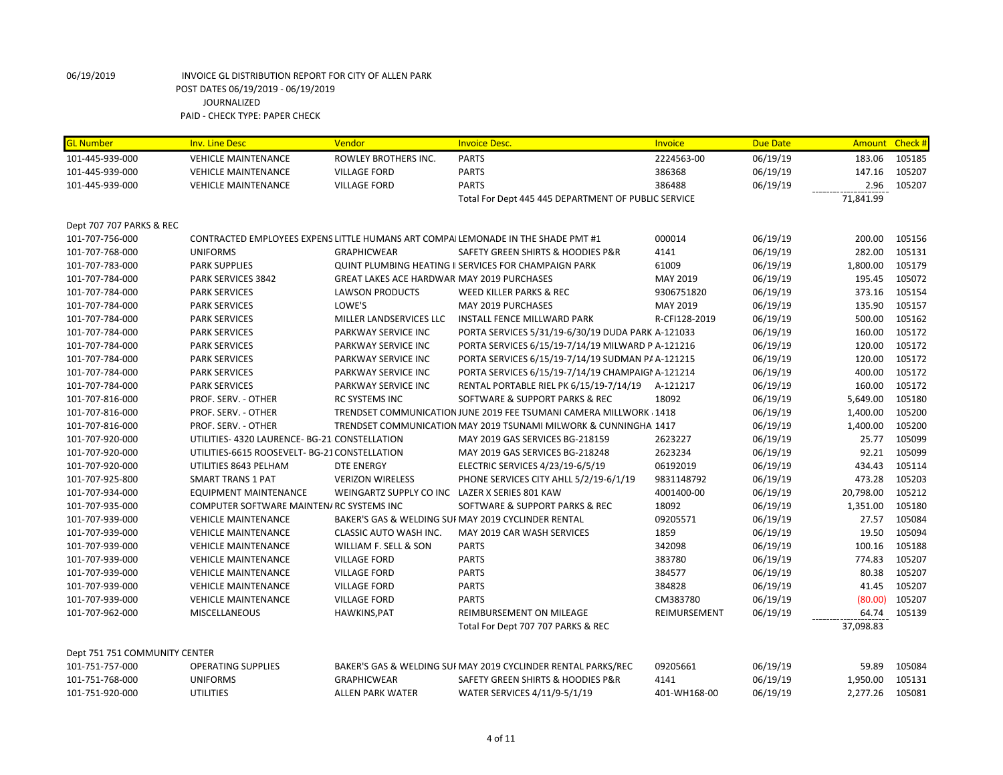| <b>GL Number</b>              | <b>Inv. Line Desc</b>                         | Vendor                                         | <b>Invoice Desc.</b>                                                             | Invoice       | <b>Due Date</b> | Amount Check # |        |
|-------------------------------|-----------------------------------------------|------------------------------------------------|----------------------------------------------------------------------------------|---------------|-----------------|----------------|--------|
| 101-445-939-000               | <b>VEHICLE MAINTENANCE</b>                    | ROWLEY BROTHERS INC.                           | <b>PARTS</b>                                                                     | 2224563-00    | 06/19/19        | 183.06         | 105185 |
| 101-445-939-000               | <b>VEHICLE MAINTENANCE</b>                    | <b>VILLAGE FORD</b>                            | <b>PARTS</b>                                                                     | 386368        | 06/19/19        | 147.16         | 105207 |
| 101-445-939-000               | <b>VEHICLE MAINTENANCE</b>                    | <b>VILLAGE FORD</b>                            | <b>PARTS</b>                                                                     | 386488        | 06/19/19        | 2.96           | 105207 |
|                               |                                               |                                                | Total For Dept 445 445 DEPARTMENT OF PUBLIC SERVICE                              |               |                 | 71,841.99      |        |
|                               |                                               |                                                |                                                                                  |               |                 |                |        |
| Dept 707 707 PARKS & REC      |                                               |                                                |                                                                                  |               |                 |                |        |
| 101-707-756-000               |                                               |                                                | CONTRACTED EMPLOYEES EXPENS LITTLE HUMANS ART COMPALLEMONADE IN THE SHADE PMT #1 | 000014        | 06/19/19        | 200.00         | 105156 |
| 101-707-768-000               | <b>UNIFORMS</b>                               | <b>GRAPHICWEAR</b>                             | SAFETY GREEN SHIRTS & HOODIES P&R                                                | 4141          | 06/19/19        | 282.00         | 105131 |
| 101-707-783-000               | <b>PARK SUPPLIES</b>                          |                                                | <b>QUINT PLUMBING HEATING II SERVICES FOR CHAMPAIGN PARK</b>                     | 61009         | 06/19/19        | 1,800.00       | 105179 |
| 101-707-784-000               | PARK SERVICES 3842                            | GREAT LAKES ACE HARDWAR MAY 2019 PURCHASES     |                                                                                  | MAY 2019      | 06/19/19        | 195.45         | 105072 |
| 101-707-784-000               | <b>PARK SERVICES</b>                          | <b>LAWSON PRODUCTS</b>                         | WEED KILLER PARKS & REC                                                          | 9306751820    | 06/19/19        | 373.16         | 105154 |
| 101-707-784-000               | PARK SERVICES                                 | LOWE'S                                         | MAY 2019 PURCHASES                                                               | MAY 2019      | 06/19/19        | 135.90         | 105157 |
| 101-707-784-000               | <b>PARK SERVICES</b>                          | MILLER LANDSERVICES LLC                        | <b>INSTALL FENCE MILLWARD PARK</b>                                               | R-CFI128-2019 | 06/19/19        | 500.00         | 105162 |
| 101-707-784-000               | <b>PARK SERVICES</b>                          | PARKWAY SERVICE INC                            | PORTA SERVICES 5/31/19-6/30/19 DUDA PARK A-121033                                |               | 06/19/19        | 160.00         | 105172 |
| 101-707-784-000               | <b>PARK SERVICES</b>                          | PARKWAY SERVICE INC                            | PORTA SERVICES 6/15/19-7/14/19 MILWARD P A-121216                                |               | 06/19/19        | 120.00         | 105172 |
| 101-707-784-000               | <b>PARK SERVICES</b>                          | PARKWAY SERVICE INC                            | PORTA SERVICES 6/15/19-7/14/19 SUDMAN P/ A-121215                                |               | 06/19/19        | 120.00         | 105172 |
| 101-707-784-000               | <b>PARK SERVICES</b>                          | PARKWAY SERVICE INC                            | PORTA SERVICES 6/15/19-7/14/19 CHAMPAIGI A-121214                                |               | 06/19/19        | 400.00         | 105172 |
| 101-707-784-000               | <b>PARK SERVICES</b>                          | PARKWAY SERVICE INC                            | RENTAL PORTABLE RIEL PK 6/15/19-7/14/19                                          | A-121217      | 06/19/19        | 160.00         | 105172 |
| 101-707-816-000               | PROF. SERV. - OTHER                           | RC SYSTEMS INC                                 | SOFTWARE & SUPPORT PARKS & REC                                                   | 18092         | 06/19/19        | 5,649.00       | 105180 |
| 101-707-816-000               | PROF. SERV. - OTHER                           |                                                | TRENDSET COMMUNICATION JUNE 2019 FEE TSUMANI CAMERA MILLWORK 1418                |               | 06/19/19        | 1,400.00       | 105200 |
| 101-707-816-000               | PROF. SERV. - OTHER                           |                                                | TRENDSET COMMUNICATION MAY 2019 TSUNAMI MILWORK & CUNNINGHA 1417                 |               | 06/19/19        | 1,400.00       | 105200 |
| 101-707-920-000               | UTILITIES- 4320 LAURENCE- BG-21 CONSTELLATION |                                                | MAY 2019 GAS SERVICES BG-218159                                                  | 2623227       | 06/19/19        | 25.77          | 105099 |
| 101-707-920-000               | UTILITIES-6615 ROOSEVELT- BG-21 CONSTELLATION |                                                | MAY 2019 GAS SERVICES BG-218248                                                  | 2623234       | 06/19/19        | 92.21          | 105099 |
| 101-707-920-000               | UTILITIES 8643 PELHAM                         | <b>DTE ENERGY</b>                              | ELECTRIC SERVICES 4/23/19-6/5/19                                                 | 06192019      | 06/19/19        | 434.43         | 105114 |
| 101-707-925-800               | <b>SMART TRANS 1 PAT</b>                      | <b>VERIZON WIRELESS</b>                        | PHONE SERVICES CITY AHLL 5/2/19-6/1/19                                           | 9831148792    | 06/19/19        | 473.28         | 105203 |
| 101-707-934-000               | <b>EQUIPMENT MAINTENANCE</b>                  | WEINGARTZ SUPPLY CO INC LAZER X SERIES 801 KAW |                                                                                  | 4001400-00    | 06/19/19        | 20,798.00      | 105212 |
| 101-707-935-000               | COMPUTER SOFTWARE MAINTEN/ RC SYSTEMS INC     |                                                | SOFTWARE & SUPPORT PARKS & REC                                                   | 18092         | 06/19/19        | 1,351.00       | 105180 |
| 101-707-939-000               | <b>VEHICLE MAINTENANCE</b>                    |                                                | BAKER'S GAS & WELDING SUI MAY 2019 CYCLINDER RENTAL                              | 09205571      | 06/19/19        | 27.57          | 105084 |
| 101-707-939-000               | <b>VEHICLE MAINTENANCE</b>                    | <b>CLASSIC AUTO WASH INC.</b>                  | MAY 2019 CAR WASH SERVICES                                                       | 1859          | 06/19/19        | 19.50          | 105094 |
| 101-707-939-000               | <b>VEHICLE MAINTENANCE</b>                    | WILLIAM F. SELL & SON                          | <b>PARTS</b>                                                                     | 342098        | 06/19/19        | 100.16         | 105188 |
| 101-707-939-000               | <b>VEHICLE MAINTENANCE</b>                    | <b>VILLAGE FORD</b>                            | <b>PARTS</b>                                                                     | 383780        | 06/19/19        | 774.83         | 105207 |
| 101-707-939-000               | <b>VEHICLE MAINTENANCE</b>                    | <b>VILLAGE FORD</b>                            | <b>PARTS</b>                                                                     | 384577        | 06/19/19        | 80.38          | 105207 |
| 101-707-939-000               | <b>VEHICLE MAINTENANCE</b>                    | <b>VILLAGE FORD</b>                            | <b>PARTS</b>                                                                     | 384828        | 06/19/19        | 41.45          | 105207 |
| 101-707-939-000               | <b>VEHICLE MAINTENANCE</b>                    | <b>VILLAGE FORD</b>                            | <b>PARTS</b>                                                                     | CM383780      | 06/19/19        | (80.00)        | 105207 |
| 101-707-962-000               | MISCELLANEOUS                                 | HAWKINS, PAT                                   | <b>REIMBURSEMENT ON MILEAGE</b>                                                  | REIMURSEMENT  | 06/19/19        | 64.74          | 105139 |
|                               |                                               |                                                | Total For Dept 707 707 PARKS & REC                                               |               |                 | 37,098.83      |        |
| Dept 751 751 COMMUNITY CENTER |                                               |                                                |                                                                                  |               |                 |                |        |
| 101-751-757-000               | <b>OPERATING SUPPLIES</b>                     |                                                | BAKER'S GAS & WELDING SUF MAY 2019 CYCLINDER RENTAL PARKS/REC                    | 09205661      | 06/19/19        | 59.89          | 105084 |
| 101-751-768-000               | <b>UNIFORMS</b>                               | <b>GRAPHICWEAR</b>                             | SAFETY GREEN SHIRTS & HOODIES P&R                                                | 4141          | 06/19/19        | 1,950.00       | 105131 |
| 101-751-920-000               | <b>UTILITIES</b>                              | <b>ALLEN PARK WATER</b>                        | WATER SERVICES 4/11/9-5/1/19                                                     | 401-WH168-00  | 06/19/19        | 2,277.26       | 105081 |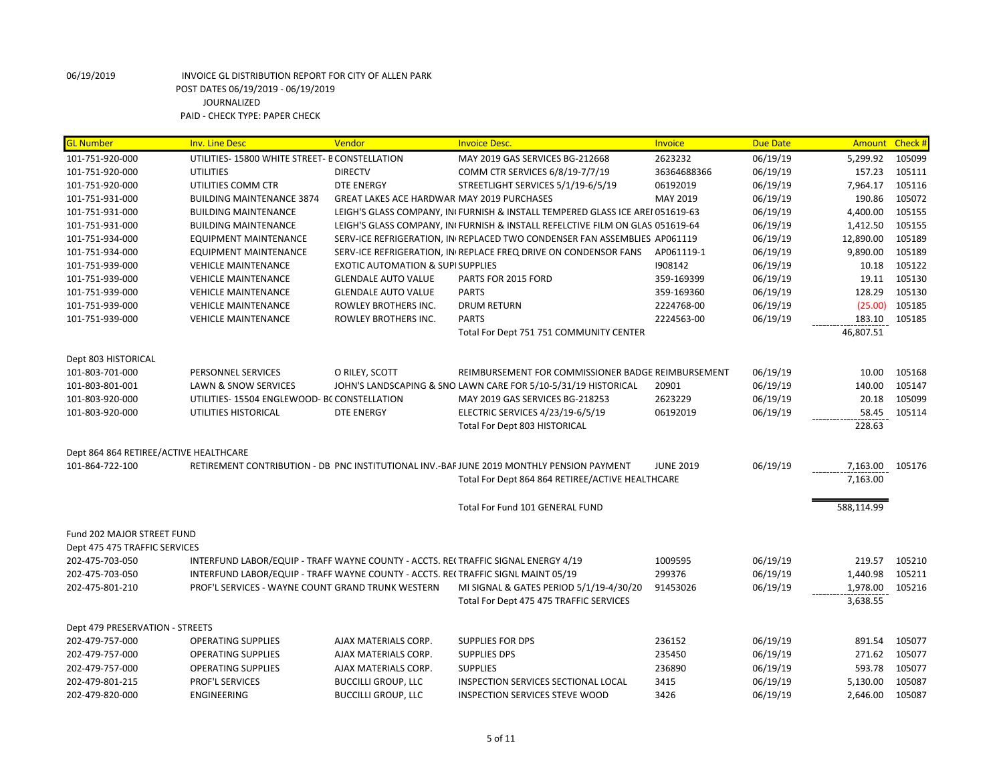| UTILITIES-15800 WHITE STREET- B CONSTELLATION<br>2623232<br>06/19/19<br>105099<br>101-751-920-000<br>MAY 2019 GAS SERVICES BG-212668<br>5,299.92<br>101-751-920-000<br><b>UTILITIES</b><br><b>DIRECTV</b><br>06/19/19<br>157.23<br>105111<br>COMM CTR SERVICES 6/8/19-7/7/19<br>36364688366<br>105116<br><b>DTE ENERGY</b><br>STREETLIGHT SERVICES 5/1/19-6/5/19<br>06192019<br>06/19/19<br>7,964.17<br>101-751-920-000<br>UTILITIES COMM CTR<br>190.86<br>105072<br>101-751-931-000<br><b>BUILDING MAINTENANCE 3874</b><br>GREAT LAKES ACE HARDWAR MAY 2019 PURCHASES<br>MAY 2019<br>06/19/19<br>4,400.00<br>105155<br>101-751-931-000<br><b>BUILDING MAINTENANCE</b><br>LEIGH'S GLASS COMPANY, IN FURNISH & INSTALL TEMPERED GLASS ICE AREI 051619-63<br>06/19/19<br>1,412.50<br>105155<br>101-751-931-000<br><b>BUILDING MAINTENANCE</b><br>LEIGH'S GLASS COMPANY, IN FURNISH & INSTALL REFELCTIVE FILM ON GLAS 051619-64<br>06/19/19<br>12,890.00<br>105189<br>101-751-934-000<br><b>EQUIPMENT MAINTENANCE</b><br>SERV-ICE REFRIGERATION, IN REPLACED TWO CONDENSER FAN ASSEMBLIES AP061119<br>06/19/19<br>9,890.00<br>105189<br>101-751-934-000<br><b>EQUIPMENT MAINTENANCE</b><br>SERV-ICE REFRIGERATION, IN REPLACE FREQ DRIVE ON CONDENSOR FANS<br>AP061119-1<br>06/19/19<br>1908142<br>06/19/19<br>10.18<br>105122<br>101-751-939-000<br><b>VEHICLE MAINTENANCE</b><br><b>EXOTIC AUTOMATION &amp; SUPI SUPPLIES</b><br>06/19/19<br>19.11<br>105130<br>101-751-939-000<br><b>VEHICLE MAINTENANCE</b><br><b>GLENDALE AUTO VALUE</b><br>PARTS FOR 2015 FORD<br>359-169399<br>06/19/19<br>128.29<br>105130<br>101-751-939-000<br><b>GLENDALE AUTO VALUE</b><br><b>PARTS</b><br>359-169360<br><b>VEHICLE MAINTENANCE</b><br>101-751-939-000<br><b>VEHICLE MAINTENANCE</b><br>ROWLEY BROTHERS INC.<br><b>DRUM RETURN</b><br>2224768-00<br>06/19/19<br>(25.00)<br>105185<br>ROWLEY BROTHERS INC.<br><b>PARTS</b><br>2224563-00<br>06/19/19<br>183.10<br>105185<br>101-751-939-000<br><b>VEHICLE MAINTENANCE</b><br>46,807.51<br>Total For Dept 751 751 COMMUNITY CENTER<br>Dept 803 HISTORICAL<br>101-803-701-000<br>O RILEY, SCOTT<br>06/19/19<br>10.00<br>105168<br>PERSONNEL SERVICES<br>REIMBURSEMENT FOR COMMISSIONER BADGE REIMBURSEMENT<br>06/19/19<br>140.00<br>105147<br>101-803-801-001<br>LAWN & SNOW SERVICES<br>JOHN'S LANDSCAPING & SNO LAWN CARE FOR 5/10-5/31/19 HISTORICAL<br>20901<br>105099<br>UTILITIES-15504 ENGLEWOOD- BC CONSTELLATION<br>2623229<br>06/19/19<br>20.18<br>101-803-920-000<br>MAY 2019 GAS SERVICES BG-218253<br>06/19/19<br>101-803-920-000<br>UTILITIES HISTORICAL<br><b>DTE ENERGY</b><br>ELECTRIC SERVICES 4/23/19-6/5/19<br>06192019<br>58.45<br>105114<br>Total For Dept 803 HISTORICAL<br>228.63<br>Dept 864 864 RETIREE/ACTIVE HEALTHCARE<br>06/19/19<br>7,163.00<br>101-864-722-100<br>RETIREMENT CONTRIBUTION - DB PNC INSTITUTIONAL INV.-BAF JUNE 2019 MONTHLY PENSION PAYMENT<br><b>JUNE 2019</b><br>105176<br>Total For Dept 864 864 RETIREE/ACTIVE HEALTHCARE<br>7,163.00<br>Total For Fund 101 GENERAL FUND<br>588,114.99<br>Fund 202 MAJOR STREET FUND<br>Dept 475 475 TRAFFIC SERVICES<br>202-475-703-050<br>INTERFUND LABOR/EQUIP - TRAFF WAYNE COUNTY - ACCTS. RECTRAFFIC SIGNAL ENERGY 4/19<br>1009595<br>06/19/19<br>219.57<br>105210<br>299376<br>1,440.98<br>202-475-703-050<br>INTERFUND LABOR/EQUIP - TRAFF WAYNE COUNTY - ACCTS. RECTRAFFIC SIGNL MAINT 05/19<br>06/19/19<br>105211<br>1,978.00<br>PROF'L SERVICES - WAYNE COUNT GRAND TRUNK WESTERN<br>MI SIGNAL & GATES PERIOD 5/1/19-4/30/20<br>06/19/19<br>105216<br>202-475-801-210<br>91453026<br>3,638.55<br>Total For Dept 475 475 TRAFFIC SERVICES<br>Dept 479 PRESERVATION - STREETS<br>202-479-757-000<br><b>OPERATING SUPPLIES</b><br>AJAX MATERIALS CORP.<br><b>SUPPLIES FOR DPS</b><br>236152<br>06/19/19<br>891.54<br>105077<br>235450<br>271.62<br>105077<br>202-479-757-000<br><b>OPERATING SUPPLIES</b><br>AJAX MATERIALS CORP.<br><b>SUPPLIES DPS</b><br>06/19/19<br>202-479-757-000<br><b>OPERATING SUPPLIES</b><br>AJAX MATERIALS CORP.<br><b>SUPPLIES</b><br>236890<br>06/19/19<br>593.78<br>105077<br>105087<br>202-479-801-215<br>PROF'L SERVICES<br><b>BUCCILLI GROUP, LLC</b><br>INSPECTION SERVICES SECTIONAL LOCAL<br>3415<br>06/19/19<br>5,130.00 | <b>GL Number</b> | <b>Inv. Line Desc</b> | Vendor                     | <b>Invoice Desc.</b>           | Invoice | <b>Due Date</b> | Amount Check # |        |
|--------------------------------------------------------------------------------------------------------------------------------------------------------------------------------------------------------------------------------------------------------------------------------------------------------------------------------------------------------------------------------------------------------------------------------------------------------------------------------------------------------------------------------------------------------------------------------------------------------------------------------------------------------------------------------------------------------------------------------------------------------------------------------------------------------------------------------------------------------------------------------------------------------------------------------------------------------------------------------------------------------------------------------------------------------------------------------------------------------------------------------------------------------------------------------------------------------------------------------------------------------------------------------------------------------------------------------------------------------------------------------------------------------------------------------------------------------------------------------------------------------------------------------------------------------------------------------------------------------------------------------------------------------------------------------------------------------------------------------------------------------------------------------------------------------------------------------------------------------------------------------------------------------------------------------------------------------------------------------------------------------------------------------------------------------------------------------------------------------------------------------------------------------------------------------------------------------------------------------------------------------------------------------------------------------------------------------------------------------------------------------------------------------------------------------------------------------------------------------------------------------------------------------------------------------------------------------------------------------------------------------------------------------------------------------------------------------------------------------------------------------------------------------------------------------------------------------------------------------------------------------------------------------------------------------------------------------------------------------------------------------------------------------------------------------------------------------------------------------------------------------------------------------------------------------------------------------------------------------------------------------------------------------------------------------------------------------------------------------------------------------------------------------------------------------------------------------------------------------------------------------------------------------------------------------------------------------------------------------------------------------------------------------------------------------------------------------------------------------------------------------------------------------------------------------------------------------------------------------------------------------------------------------------------------------------------------------------------------------------------------------------------------------------------------------------------------------------------------------------------------------------------------------------------------------------------------------------------------------------------------------------------------------------------------|------------------|-----------------------|----------------------------|--------------------------------|---------|-----------------|----------------|--------|
|                                                                                                                                                                                                                                                                                                                                                                                                                                                                                                                                                                                                                                                                                                                                                                                                                                                                                                                                                                                                                                                                                                                                                                                                                                                                                                                                                                                                                                                                                                                                                                                                                                                                                                                                                                                                                                                                                                                                                                                                                                                                                                                                                                                                                                                                                                                                                                                                                                                                                                                                                                                                                                                                                                                                                                                                                                                                                                                                                                                                                                                                                                                                                                                                                                                                                                                                                                                                                                                                                                                                                                                                                                                                                                                                                                                                                                                                                                                                                                                                                                                                                                                                                                                                                                                                                                  |                  |                       |                            |                                |         |                 |                |        |
|                                                                                                                                                                                                                                                                                                                                                                                                                                                                                                                                                                                                                                                                                                                                                                                                                                                                                                                                                                                                                                                                                                                                                                                                                                                                                                                                                                                                                                                                                                                                                                                                                                                                                                                                                                                                                                                                                                                                                                                                                                                                                                                                                                                                                                                                                                                                                                                                                                                                                                                                                                                                                                                                                                                                                                                                                                                                                                                                                                                                                                                                                                                                                                                                                                                                                                                                                                                                                                                                                                                                                                                                                                                                                                                                                                                                                                                                                                                                                                                                                                                                                                                                                                                                                                                                                                  |                  |                       |                            |                                |         |                 |                |        |
|                                                                                                                                                                                                                                                                                                                                                                                                                                                                                                                                                                                                                                                                                                                                                                                                                                                                                                                                                                                                                                                                                                                                                                                                                                                                                                                                                                                                                                                                                                                                                                                                                                                                                                                                                                                                                                                                                                                                                                                                                                                                                                                                                                                                                                                                                                                                                                                                                                                                                                                                                                                                                                                                                                                                                                                                                                                                                                                                                                                                                                                                                                                                                                                                                                                                                                                                                                                                                                                                                                                                                                                                                                                                                                                                                                                                                                                                                                                                                                                                                                                                                                                                                                                                                                                                                                  |                  |                       |                            |                                |         |                 |                |        |
|                                                                                                                                                                                                                                                                                                                                                                                                                                                                                                                                                                                                                                                                                                                                                                                                                                                                                                                                                                                                                                                                                                                                                                                                                                                                                                                                                                                                                                                                                                                                                                                                                                                                                                                                                                                                                                                                                                                                                                                                                                                                                                                                                                                                                                                                                                                                                                                                                                                                                                                                                                                                                                                                                                                                                                                                                                                                                                                                                                                                                                                                                                                                                                                                                                                                                                                                                                                                                                                                                                                                                                                                                                                                                                                                                                                                                                                                                                                                                                                                                                                                                                                                                                                                                                                                                                  |                  |                       |                            |                                |         |                 |                |        |
|                                                                                                                                                                                                                                                                                                                                                                                                                                                                                                                                                                                                                                                                                                                                                                                                                                                                                                                                                                                                                                                                                                                                                                                                                                                                                                                                                                                                                                                                                                                                                                                                                                                                                                                                                                                                                                                                                                                                                                                                                                                                                                                                                                                                                                                                                                                                                                                                                                                                                                                                                                                                                                                                                                                                                                                                                                                                                                                                                                                                                                                                                                                                                                                                                                                                                                                                                                                                                                                                                                                                                                                                                                                                                                                                                                                                                                                                                                                                                                                                                                                                                                                                                                                                                                                                                                  |                  |                       |                            |                                |         |                 |                |        |
|                                                                                                                                                                                                                                                                                                                                                                                                                                                                                                                                                                                                                                                                                                                                                                                                                                                                                                                                                                                                                                                                                                                                                                                                                                                                                                                                                                                                                                                                                                                                                                                                                                                                                                                                                                                                                                                                                                                                                                                                                                                                                                                                                                                                                                                                                                                                                                                                                                                                                                                                                                                                                                                                                                                                                                                                                                                                                                                                                                                                                                                                                                                                                                                                                                                                                                                                                                                                                                                                                                                                                                                                                                                                                                                                                                                                                                                                                                                                                                                                                                                                                                                                                                                                                                                                                                  |                  |                       |                            |                                |         |                 |                |        |
|                                                                                                                                                                                                                                                                                                                                                                                                                                                                                                                                                                                                                                                                                                                                                                                                                                                                                                                                                                                                                                                                                                                                                                                                                                                                                                                                                                                                                                                                                                                                                                                                                                                                                                                                                                                                                                                                                                                                                                                                                                                                                                                                                                                                                                                                                                                                                                                                                                                                                                                                                                                                                                                                                                                                                                                                                                                                                                                                                                                                                                                                                                                                                                                                                                                                                                                                                                                                                                                                                                                                                                                                                                                                                                                                                                                                                                                                                                                                                                                                                                                                                                                                                                                                                                                                                                  |                  |                       |                            |                                |         |                 |                |        |
|                                                                                                                                                                                                                                                                                                                                                                                                                                                                                                                                                                                                                                                                                                                                                                                                                                                                                                                                                                                                                                                                                                                                                                                                                                                                                                                                                                                                                                                                                                                                                                                                                                                                                                                                                                                                                                                                                                                                                                                                                                                                                                                                                                                                                                                                                                                                                                                                                                                                                                                                                                                                                                                                                                                                                                                                                                                                                                                                                                                                                                                                                                                                                                                                                                                                                                                                                                                                                                                                                                                                                                                                                                                                                                                                                                                                                                                                                                                                                                                                                                                                                                                                                                                                                                                                                                  |                  |                       |                            |                                |         |                 |                |        |
|                                                                                                                                                                                                                                                                                                                                                                                                                                                                                                                                                                                                                                                                                                                                                                                                                                                                                                                                                                                                                                                                                                                                                                                                                                                                                                                                                                                                                                                                                                                                                                                                                                                                                                                                                                                                                                                                                                                                                                                                                                                                                                                                                                                                                                                                                                                                                                                                                                                                                                                                                                                                                                                                                                                                                                                                                                                                                                                                                                                                                                                                                                                                                                                                                                                                                                                                                                                                                                                                                                                                                                                                                                                                                                                                                                                                                                                                                                                                                                                                                                                                                                                                                                                                                                                                                                  |                  |                       |                            |                                |         |                 |                |        |
|                                                                                                                                                                                                                                                                                                                                                                                                                                                                                                                                                                                                                                                                                                                                                                                                                                                                                                                                                                                                                                                                                                                                                                                                                                                                                                                                                                                                                                                                                                                                                                                                                                                                                                                                                                                                                                                                                                                                                                                                                                                                                                                                                                                                                                                                                                                                                                                                                                                                                                                                                                                                                                                                                                                                                                                                                                                                                                                                                                                                                                                                                                                                                                                                                                                                                                                                                                                                                                                                                                                                                                                                                                                                                                                                                                                                                                                                                                                                                                                                                                                                                                                                                                                                                                                                                                  |                  |                       |                            |                                |         |                 |                |        |
|                                                                                                                                                                                                                                                                                                                                                                                                                                                                                                                                                                                                                                                                                                                                                                                                                                                                                                                                                                                                                                                                                                                                                                                                                                                                                                                                                                                                                                                                                                                                                                                                                                                                                                                                                                                                                                                                                                                                                                                                                                                                                                                                                                                                                                                                                                                                                                                                                                                                                                                                                                                                                                                                                                                                                                                                                                                                                                                                                                                                                                                                                                                                                                                                                                                                                                                                                                                                                                                                                                                                                                                                                                                                                                                                                                                                                                                                                                                                                                                                                                                                                                                                                                                                                                                                                                  |                  |                       |                            |                                |         |                 |                |        |
|                                                                                                                                                                                                                                                                                                                                                                                                                                                                                                                                                                                                                                                                                                                                                                                                                                                                                                                                                                                                                                                                                                                                                                                                                                                                                                                                                                                                                                                                                                                                                                                                                                                                                                                                                                                                                                                                                                                                                                                                                                                                                                                                                                                                                                                                                                                                                                                                                                                                                                                                                                                                                                                                                                                                                                                                                                                                                                                                                                                                                                                                                                                                                                                                                                                                                                                                                                                                                                                                                                                                                                                                                                                                                                                                                                                                                                                                                                                                                                                                                                                                                                                                                                                                                                                                                                  |                  |                       |                            |                                |         |                 |                |        |
|                                                                                                                                                                                                                                                                                                                                                                                                                                                                                                                                                                                                                                                                                                                                                                                                                                                                                                                                                                                                                                                                                                                                                                                                                                                                                                                                                                                                                                                                                                                                                                                                                                                                                                                                                                                                                                                                                                                                                                                                                                                                                                                                                                                                                                                                                                                                                                                                                                                                                                                                                                                                                                                                                                                                                                                                                                                                                                                                                                                                                                                                                                                                                                                                                                                                                                                                                                                                                                                                                                                                                                                                                                                                                                                                                                                                                                                                                                                                                                                                                                                                                                                                                                                                                                                                                                  |                  |                       |                            |                                |         |                 |                |        |
|                                                                                                                                                                                                                                                                                                                                                                                                                                                                                                                                                                                                                                                                                                                                                                                                                                                                                                                                                                                                                                                                                                                                                                                                                                                                                                                                                                                                                                                                                                                                                                                                                                                                                                                                                                                                                                                                                                                                                                                                                                                                                                                                                                                                                                                                                                                                                                                                                                                                                                                                                                                                                                                                                                                                                                                                                                                                                                                                                                                                                                                                                                                                                                                                                                                                                                                                                                                                                                                                                                                                                                                                                                                                                                                                                                                                                                                                                                                                                                                                                                                                                                                                                                                                                                                                                                  |                  |                       |                            |                                |         |                 |                |        |
|                                                                                                                                                                                                                                                                                                                                                                                                                                                                                                                                                                                                                                                                                                                                                                                                                                                                                                                                                                                                                                                                                                                                                                                                                                                                                                                                                                                                                                                                                                                                                                                                                                                                                                                                                                                                                                                                                                                                                                                                                                                                                                                                                                                                                                                                                                                                                                                                                                                                                                                                                                                                                                                                                                                                                                                                                                                                                                                                                                                                                                                                                                                                                                                                                                                                                                                                                                                                                                                                                                                                                                                                                                                                                                                                                                                                                                                                                                                                                                                                                                                                                                                                                                                                                                                                                                  |                  |                       |                            |                                |         |                 |                |        |
|                                                                                                                                                                                                                                                                                                                                                                                                                                                                                                                                                                                                                                                                                                                                                                                                                                                                                                                                                                                                                                                                                                                                                                                                                                                                                                                                                                                                                                                                                                                                                                                                                                                                                                                                                                                                                                                                                                                                                                                                                                                                                                                                                                                                                                                                                                                                                                                                                                                                                                                                                                                                                                                                                                                                                                                                                                                                                                                                                                                                                                                                                                                                                                                                                                                                                                                                                                                                                                                                                                                                                                                                                                                                                                                                                                                                                                                                                                                                                                                                                                                                                                                                                                                                                                                                                                  |                  |                       |                            |                                |         |                 |                |        |
|                                                                                                                                                                                                                                                                                                                                                                                                                                                                                                                                                                                                                                                                                                                                                                                                                                                                                                                                                                                                                                                                                                                                                                                                                                                                                                                                                                                                                                                                                                                                                                                                                                                                                                                                                                                                                                                                                                                                                                                                                                                                                                                                                                                                                                                                                                                                                                                                                                                                                                                                                                                                                                                                                                                                                                                                                                                                                                                                                                                                                                                                                                                                                                                                                                                                                                                                                                                                                                                                                                                                                                                                                                                                                                                                                                                                                                                                                                                                                                                                                                                                                                                                                                                                                                                                                                  |                  |                       |                            |                                |         |                 |                |        |
|                                                                                                                                                                                                                                                                                                                                                                                                                                                                                                                                                                                                                                                                                                                                                                                                                                                                                                                                                                                                                                                                                                                                                                                                                                                                                                                                                                                                                                                                                                                                                                                                                                                                                                                                                                                                                                                                                                                                                                                                                                                                                                                                                                                                                                                                                                                                                                                                                                                                                                                                                                                                                                                                                                                                                                                                                                                                                                                                                                                                                                                                                                                                                                                                                                                                                                                                                                                                                                                                                                                                                                                                                                                                                                                                                                                                                                                                                                                                                                                                                                                                                                                                                                                                                                                                                                  |                  |                       |                            |                                |         |                 |                |        |
|                                                                                                                                                                                                                                                                                                                                                                                                                                                                                                                                                                                                                                                                                                                                                                                                                                                                                                                                                                                                                                                                                                                                                                                                                                                                                                                                                                                                                                                                                                                                                                                                                                                                                                                                                                                                                                                                                                                                                                                                                                                                                                                                                                                                                                                                                                                                                                                                                                                                                                                                                                                                                                                                                                                                                                                                                                                                                                                                                                                                                                                                                                                                                                                                                                                                                                                                                                                                                                                                                                                                                                                                                                                                                                                                                                                                                                                                                                                                                                                                                                                                                                                                                                                                                                                                                                  |                  |                       |                            |                                |         |                 |                |        |
|                                                                                                                                                                                                                                                                                                                                                                                                                                                                                                                                                                                                                                                                                                                                                                                                                                                                                                                                                                                                                                                                                                                                                                                                                                                                                                                                                                                                                                                                                                                                                                                                                                                                                                                                                                                                                                                                                                                                                                                                                                                                                                                                                                                                                                                                                                                                                                                                                                                                                                                                                                                                                                                                                                                                                                                                                                                                                                                                                                                                                                                                                                                                                                                                                                                                                                                                                                                                                                                                                                                                                                                                                                                                                                                                                                                                                                                                                                                                                                                                                                                                                                                                                                                                                                                                                                  |                  |                       |                            |                                |         |                 |                |        |
|                                                                                                                                                                                                                                                                                                                                                                                                                                                                                                                                                                                                                                                                                                                                                                                                                                                                                                                                                                                                                                                                                                                                                                                                                                                                                                                                                                                                                                                                                                                                                                                                                                                                                                                                                                                                                                                                                                                                                                                                                                                                                                                                                                                                                                                                                                                                                                                                                                                                                                                                                                                                                                                                                                                                                                                                                                                                                                                                                                                                                                                                                                                                                                                                                                                                                                                                                                                                                                                                                                                                                                                                                                                                                                                                                                                                                                                                                                                                                                                                                                                                                                                                                                                                                                                                                                  |                  |                       |                            |                                |         |                 |                |        |
|                                                                                                                                                                                                                                                                                                                                                                                                                                                                                                                                                                                                                                                                                                                                                                                                                                                                                                                                                                                                                                                                                                                                                                                                                                                                                                                                                                                                                                                                                                                                                                                                                                                                                                                                                                                                                                                                                                                                                                                                                                                                                                                                                                                                                                                                                                                                                                                                                                                                                                                                                                                                                                                                                                                                                                                                                                                                                                                                                                                                                                                                                                                                                                                                                                                                                                                                                                                                                                                                                                                                                                                                                                                                                                                                                                                                                                                                                                                                                                                                                                                                                                                                                                                                                                                                                                  |                  |                       |                            |                                |         |                 |                |        |
|                                                                                                                                                                                                                                                                                                                                                                                                                                                                                                                                                                                                                                                                                                                                                                                                                                                                                                                                                                                                                                                                                                                                                                                                                                                                                                                                                                                                                                                                                                                                                                                                                                                                                                                                                                                                                                                                                                                                                                                                                                                                                                                                                                                                                                                                                                                                                                                                                                                                                                                                                                                                                                                                                                                                                                                                                                                                                                                                                                                                                                                                                                                                                                                                                                                                                                                                                                                                                                                                                                                                                                                                                                                                                                                                                                                                                                                                                                                                                                                                                                                                                                                                                                                                                                                                                                  |                  |                       |                            |                                |         |                 |                |        |
|                                                                                                                                                                                                                                                                                                                                                                                                                                                                                                                                                                                                                                                                                                                                                                                                                                                                                                                                                                                                                                                                                                                                                                                                                                                                                                                                                                                                                                                                                                                                                                                                                                                                                                                                                                                                                                                                                                                                                                                                                                                                                                                                                                                                                                                                                                                                                                                                                                                                                                                                                                                                                                                                                                                                                                                                                                                                                                                                                                                                                                                                                                                                                                                                                                                                                                                                                                                                                                                                                                                                                                                                                                                                                                                                                                                                                                                                                                                                                                                                                                                                                                                                                                                                                                                                                                  |                  |                       |                            |                                |         |                 |                |        |
|                                                                                                                                                                                                                                                                                                                                                                                                                                                                                                                                                                                                                                                                                                                                                                                                                                                                                                                                                                                                                                                                                                                                                                                                                                                                                                                                                                                                                                                                                                                                                                                                                                                                                                                                                                                                                                                                                                                                                                                                                                                                                                                                                                                                                                                                                                                                                                                                                                                                                                                                                                                                                                                                                                                                                                                                                                                                                                                                                                                                                                                                                                                                                                                                                                                                                                                                                                                                                                                                                                                                                                                                                                                                                                                                                                                                                                                                                                                                                                                                                                                                                                                                                                                                                                                                                                  |                  |                       |                            |                                |         |                 |                |        |
|                                                                                                                                                                                                                                                                                                                                                                                                                                                                                                                                                                                                                                                                                                                                                                                                                                                                                                                                                                                                                                                                                                                                                                                                                                                                                                                                                                                                                                                                                                                                                                                                                                                                                                                                                                                                                                                                                                                                                                                                                                                                                                                                                                                                                                                                                                                                                                                                                                                                                                                                                                                                                                                                                                                                                                                                                                                                                                                                                                                                                                                                                                                                                                                                                                                                                                                                                                                                                                                                                                                                                                                                                                                                                                                                                                                                                                                                                                                                                                                                                                                                                                                                                                                                                                                                                                  |                  |                       |                            |                                |         |                 |                |        |
|                                                                                                                                                                                                                                                                                                                                                                                                                                                                                                                                                                                                                                                                                                                                                                                                                                                                                                                                                                                                                                                                                                                                                                                                                                                                                                                                                                                                                                                                                                                                                                                                                                                                                                                                                                                                                                                                                                                                                                                                                                                                                                                                                                                                                                                                                                                                                                                                                                                                                                                                                                                                                                                                                                                                                                                                                                                                                                                                                                                                                                                                                                                                                                                                                                                                                                                                                                                                                                                                                                                                                                                                                                                                                                                                                                                                                                                                                                                                                                                                                                                                                                                                                                                                                                                                                                  |                  |                       |                            |                                |         |                 |                |        |
|                                                                                                                                                                                                                                                                                                                                                                                                                                                                                                                                                                                                                                                                                                                                                                                                                                                                                                                                                                                                                                                                                                                                                                                                                                                                                                                                                                                                                                                                                                                                                                                                                                                                                                                                                                                                                                                                                                                                                                                                                                                                                                                                                                                                                                                                                                                                                                                                                                                                                                                                                                                                                                                                                                                                                                                                                                                                                                                                                                                                                                                                                                                                                                                                                                                                                                                                                                                                                                                                                                                                                                                                                                                                                                                                                                                                                                                                                                                                                                                                                                                                                                                                                                                                                                                                                                  |                  |                       |                            |                                |         |                 |                |        |
|                                                                                                                                                                                                                                                                                                                                                                                                                                                                                                                                                                                                                                                                                                                                                                                                                                                                                                                                                                                                                                                                                                                                                                                                                                                                                                                                                                                                                                                                                                                                                                                                                                                                                                                                                                                                                                                                                                                                                                                                                                                                                                                                                                                                                                                                                                                                                                                                                                                                                                                                                                                                                                                                                                                                                                                                                                                                                                                                                                                                                                                                                                                                                                                                                                                                                                                                                                                                                                                                                                                                                                                                                                                                                                                                                                                                                                                                                                                                                                                                                                                                                                                                                                                                                                                                                                  |                  |                       |                            |                                |         |                 |                |        |
|                                                                                                                                                                                                                                                                                                                                                                                                                                                                                                                                                                                                                                                                                                                                                                                                                                                                                                                                                                                                                                                                                                                                                                                                                                                                                                                                                                                                                                                                                                                                                                                                                                                                                                                                                                                                                                                                                                                                                                                                                                                                                                                                                                                                                                                                                                                                                                                                                                                                                                                                                                                                                                                                                                                                                                                                                                                                                                                                                                                                                                                                                                                                                                                                                                                                                                                                                                                                                                                                                                                                                                                                                                                                                                                                                                                                                                                                                                                                                                                                                                                                                                                                                                                                                                                                                                  |                  |                       |                            |                                |         |                 |                |        |
|                                                                                                                                                                                                                                                                                                                                                                                                                                                                                                                                                                                                                                                                                                                                                                                                                                                                                                                                                                                                                                                                                                                                                                                                                                                                                                                                                                                                                                                                                                                                                                                                                                                                                                                                                                                                                                                                                                                                                                                                                                                                                                                                                                                                                                                                                                                                                                                                                                                                                                                                                                                                                                                                                                                                                                                                                                                                                                                                                                                                                                                                                                                                                                                                                                                                                                                                                                                                                                                                                                                                                                                                                                                                                                                                                                                                                                                                                                                                                                                                                                                                                                                                                                                                                                                                                                  |                  |                       |                            |                                |         |                 |                |        |
|                                                                                                                                                                                                                                                                                                                                                                                                                                                                                                                                                                                                                                                                                                                                                                                                                                                                                                                                                                                                                                                                                                                                                                                                                                                                                                                                                                                                                                                                                                                                                                                                                                                                                                                                                                                                                                                                                                                                                                                                                                                                                                                                                                                                                                                                                                                                                                                                                                                                                                                                                                                                                                                                                                                                                                                                                                                                                                                                                                                                                                                                                                                                                                                                                                                                                                                                                                                                                                                                                                                                                                                                                                                                                                                                                                                                                                                                                                                                                                                                                                                                                                                                                                                                                                                                                                  |                  |                       |                            |                                |         |                 |                |        |
|                                                                                                                                                                                                                                                                                                                                                                                                                                                                                                                                                                                                                                                                                                                                                                                                                                                                                                                                                                                                                                                                                                                                                                                                                                                                                                                                                                                                                                                                                                                                                                                                                                                                                                                                                                                                                                                                                                                                                                                                                                                                                                                                                                                                                                                                                                                                                                                                                                                                                                                                                                                                                                                                                                                                                                                                                                                                                                                                                                                                                                                                                                                                                                                                                                                                                                                                                                                                                                                                                                                                                                                                                                                                                                                                                                                                                                                                                                                                                                                                                                                                                                                                                                                                                                                                                                  |                  |                       |                            |                                |         |                 |                |        |
|                                                                                                                                                                                                                                                                                                                                                                                                                                                                                                                                                                                                                                                                                                                                                                                                                                                                                                                                                                                                                                                                                                                                                                                                                                                                                                                                                                                                                                                                                                                                                                                                                                                                                                                                                                                                                                                                                                                                                                                                                                                                                                                                                                                                                                                                                                                                                                                                                                                                                                                                                                                                                                                                                                                                                                                                                                                                                                                                                                                                                                                                                                                                                                                                                                                                                                                                                                                                                                                                                                                                                                                                                                                                                                                                                                                                                                                                                                                                                                                                                                                                                                                                                                                                                                                                                                  |                  |                       |                            |                                |         |                 |                |        |
|                                                                                                                                                                                                                                                                                                                                                                                                                                                                                                                                                                                                                                                                                                                                                                                                                                                                                                                                                                                                                                                                                                                                                                                                                                                                                                                                                                                                                                                                                                                                                                                                                                                                                                                                                                                                                                                                                                                                                                                                                                                                                                                                                                                                                                                                                                                                                                                                                                                                                                                                                                                                                                                                                                                                                                                                                                                                                                                                                                                                                                                                                                                                                                                                                                                                                                                                                                                                                                                                                                                                                                                                                                                                                                                                                                                                                                                                                                                                                                                                                                                                                                                                                                                                                                                                                                  |                  |                       |                            |                                |         |                 |                |        |
|                                                                                                                                                                                                                                                                                                                                                                                                                                                                                                                                                                                                                                                                                                                                                                                                                                                                                                                                                                                                                                                                                                                                                                                                                                                                                                                                                                                                                                                                                                                                                                                                                                                                                                                                                                                                                                                                                                                                                                                                                                                                                                                                                                                                                                                                                                                                                                                                                                                                                                                                                                                                                                                                                                                                                                                                                                                                                                                                                                                                                                                                                                                                                                                                                                                                                                                                                                                                                                                                                                                                                                                                                                                                                                                                                                                                                                                                                                                                                                                                                                                                                                                                                                                                                                                                                                  |                  |                       |                            |                                |         |                 |                |        |
|                                                                                                                                                                                                                                                                                                                                                                                                                                                                                                                                                                                                                                                                                                                                                                                                                                                                                                                                                                                                                                                                                                                                                                                                                                                                                                                                                                                                                                                                                                                                                                                                                                                                                                                                                                                                                                                                                                                                                                                                                                                                                                                                                                                                                                                                                                                                                                                                                                                                                                                                                                                                                                                                                                                                                                                                                                                                                                                                                                                                                                                                                                                                                                                                                                                                                                                                                                                                                                                                                                                                                                                                                                                                                                                                                                                                                                                                                                                                                                                                                                                                                                                                                                                                                                                                                                  |                  |                       |                            |                                |         |                 |                |        |
|                                                                                                                                                                                                                                                                                                                                                                                                                                                                                                                                                                                                                                                                                                                                                                                                                                                                                                                                                                                                                                                                                                                                                                                                                                                                                                                                                                                                                                                                                                                                                                                                                                                                                                                                                                                                                                                                                                                                                                                                                                                                                                                                                                                                                                                                                                                                                                                                                                                                                                                                                                                                                                                                                                                                                                                                                                                                                                                                                                                                                                                                                                                                                                                                                                                                                                                                                                                                                                                                                                                                                                                                                                                                                                                                                                                                                                                                                                                                                                                                                                                                                                                                                                                                                                                                                                  |                  |                       |                            |                                |         |                 |                |        |
|                                                                                                                                                                                                                                                                                                                                                                                                                                                                                                                                                                                                                                                                                                                                                                                                                                                                                                                                                                                                                                                                                                                                                                                                                                                                                                                                                                                                                                                                                                                                                                                                                                                                                                                                                                                                                                                                                                                                                                                                                                                                                                                                                                                                                                                                                                                                                                                                                                                                                                                                                                                                                                                                                                                                                                                                                                                                                                                                                                                                                                                                                                                                                                                                                                                                                                                                                                                                                                                                                                                                                                                                                                                                                                                                                                                                                                                                                                                                                                                                                                                                                                                                                                                                                                                                                                  |                  |                       |                            |                                |         |                 |                |        |
|                                                                                                                                                                                                                                                                                                                                                                                                                                                                                                                                                                                                                                                                                                                                                                                                                                                                                                                                                                                                                                                                                                                                                                                                                                                                                                                                                                                                                                                                                                                                                                                                                                                                                                                                                                                                                                                                                                                                                                                                                                                                                                                                                                                                                                                                                                                                                                                                                                                                                                                                                                                                                                                                                                                                                                                                                                                                                                                                                                                                                                                                                                                                                                                                                                                                                                                                                                                                                                                                                                                                                                                                                                                                                                                                                                                                                                                                                                                                                                                                                                                                                                                                                                                                                                                                                                  | 202-479-820-000  | ENGINEERING           | <b>BUCCILLI GROUP, LLC</b> | INSPECTION SERVICES STEVE WOOD | 3426    | 06/19/19        | 2,646.00       | 105087 |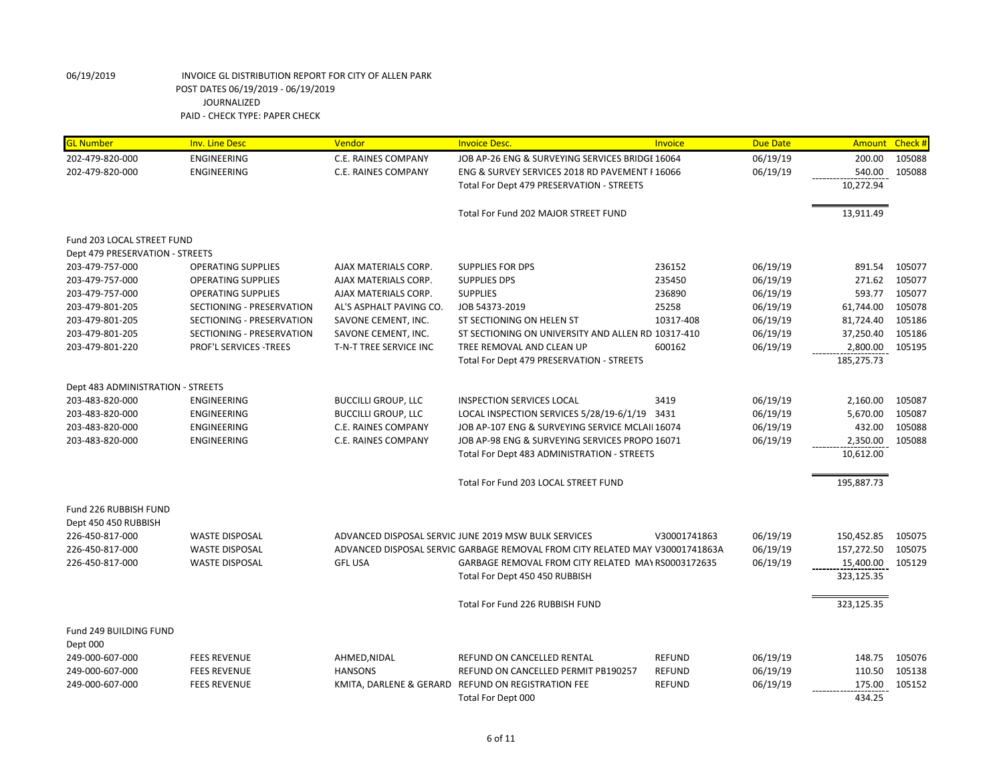| <b>GL Number</b>                  | <b>Inv. Line Desc</b>     | Vendor                     | <b>Invoice Desc.</b>                                                         | Invoice       | <b>Due Date</b> | Amount     | Check # |
|-----------------------------------|---------------------------|----------------------------|------------------------------------------------------------------------------|---------------|-----------------|------------|---------|
| 202-479-820-000                   | ENGINEERING               | C.E. RAINES COMPANY        | JOB AP-26 ENG & SURVEYING SERVICES BRIDGE 16064                              |               | 06/19/19        | 200.00     | 105088  |
| 202-479-820-000                   | ENGINEERING               | C.E. RAINES COMPANY        | ENG & SURVEY SERVICES 2018 RD PAVEMENT I 16066                               |               | 06/19/19        | 540.00     | 105088  |
|                                   |                           |                            | Total For Dept 479 PRESERVATION - STREETS                                    |               |                 | 10,272.94  |         |
|                                   |                           |                            | Total For Fund 202 MAJOR STREET FUND                                         |               |                 | 13,911.49  |         |
| Fund 203 LOCAL STREET FUND        |                           |                            |                                                                              |               |                 |            |         |
| Dept 479 PRESERVATION - STREETS   |                           |                            |                                                                              |               |                 |            |         |
| 203-479-757-000                   | <b>OPERATING SUPPLIES</b> | AJAX MATERIALS CORP.       | SUPPLIES FOR DPS                                                             | 236152        | 06/19/19        | 891.54     | 105077  |
| 203-479-757-000                   | <b>OPERATING SUPPLIES</b> | AJAX MATERIALS CORP.       | <b>SUPPLIES DPS</b>                                                          | 235450        | 06/19/19        | 271.62     | 105077  |
| 203-479-757-000                   | <b>OPERATING SUPPLIES</b> | AJAX MATERIALS CORP.       | <b>SUPPLIES</b>                                                              | 236890        | 06/19/19        | 593.77     | 105077  |
| 203-479-801-205                   | SECTIONING - PRESERVATION | AL'S ASPHALT PAVING CO.    | JOB 54373-2019                                                               | 25258         | 06/19/19        | 61,744.00  | 105078  |
| 203-479-801-205                   | SECTIONING - PRESERVATION | SAVONE CEMENT, INC.        | ST SECTIONING ON HELEN ST                                                    | 10317-408     | 06/19/19        | 81,724.40  | 105186  |
| 203-479-801-205                   | SECTIONING - PRESERVATION | SAVONE CEMENT, INC.        | ST SECTIONING ON UNIVERSITY AND ALLEN RD 10317-410                           |               | 06/19/19        | 37,250.40  | 105186  |
| 203-479-801-220                   | PROF'L SERVICES -TREES    | T-N-T TREE SERVICE INC     | TREE REMOVAL AND CLEAN UP                                                    | 600162        | 06/19/19        | 2,800.00   | 105195  |
|                                   |                           |                            | Total For Dept 479 PRESERVATION - STREETS                                    |               |                 | 185,275.73 |         |
| Dept 483 ADMINISTRATION - STREETS |                           |                            |                                                                              |               |                 |            |         |
| 203-483-820-000                   | <b>ENGINEERING</b>        | <b>BUCCILLI GROUP, LLC</b> | <b>INSPECTION SERVICES LOCAL</b>                                             | 3419          | 06/19/19        | 2,160.00   | 105087  |
| 203-483-820-000                   | <b>ENGINEERING</b>        | <b>BUCCILLI GROUP, LLC</b> | LOCAL INSPECTION SERVICES 5/28/19-6/1/19 3431                                |               | 06/19/19        | 5,670.00   | 105087  |
| 203-483-820-000                   | <b>ENGINEERING</b>        | C.E. RAINES COMPANY        | JOB AP-107 ENG & SURVEYING SERVICE MCLAII 16074                              |               | 06/19/19        | 432.00     | 105088  |
| 203-483-820-000                   | ENGINEERING               | C.E. RAINES COMPANY        | JOB AP-98 ENG & SURVEYING SERVICES PROPO 16071                               |               | 06/19/19        | 2,350.00   | 105088  |
|                                   |                           |                            | Total For Dept 483 ADMINISTRATION - STREETS                                  |               |                 | 10,612.00  |         |
|                                   |                           |                            | Total For Fund 203 LOCAL STREET FUND                                         |               |                 | 195,887.73 |         |
|                                   |                           |                            |                                                                              |               |                 |            |         |
| Fund 226 RUBBISH FUND             |                           |                            |                                                                              |               |                 |            |         |
| Dept 450 450 RUBBISH              |                           |                            |                                                                              |               |                 |            |         |
| 226-450-817-000                   | <b>WASTE DISPOSAL</b>     |                            | ADVANCED DISPOSAL SERVIC JUNE 2019 MSW BULK SERVICES                         | V30001741863  | 06/19/19        | 150,452.85 | 105075  |
| 226-450-817-000                   | <b>WASTE DISPOSAL</b>     |                            | ADVANCED DISPOSAL SERVIC GARBAGE REMOVAL FROM CITY RELATED MAY V30001741863A |               | 06/19/19        | 157,272.50 | 105075  |
| 226-450-817-000                   | <b>WASTE DISPOSAL</b>     | <b>GFL USA</b>             | GARBAGE REMOVAL FROM CITY RELATED MAY RS0003172635                           |               | 06/19/19        | 15,400.00  | 105129  |
|                                   |                           |                            | Total For Dept 450 450 RUBBISH                                               |               |                 | 323,125.35 |         |
|                                   |                           |                            | Total For Fund 226 RUBBISH FUND                                              |               |                 | 323,125.35 |         |
|                                   |                           |                            |                                                                              |               |                 |            |         |
| Fund 249 BUILDING FUND            |                           |                            |                                                                              |               |                 |            |         |
| Dept 000                          |                           |                            |                                                                              |               |                 |            |         |
| 249-000-607-000                   | <b>FEES REVENUE</b>       | AHMED, NIDAL               | REFUND ON CANCELLED RENTAL                                                   | <b>REFUND</b> | 06/19/19        | 148.75     | 105076  |
| 249-000-607-000                   | <b>FEES REVENUE</b>       | <b>HANSONS</b>             | REFUND ON CANCELLED PERMIT PB190257                                          | <b>REFUND</b> | 06/19/19        | 110.50     | 105138  |
| 249-000-607-000                   | <b>FEES REVENUE</b>       |                            | KMITA, DARLENE & GERARD REFUND ON REGISTRATION FEE                           | <b>REFUND</b> | 06/19/19        | 175.00     | 105152  |
|                                   |                           |                            | Total For Dept 000                                                           |               |                 | 434.25     |         |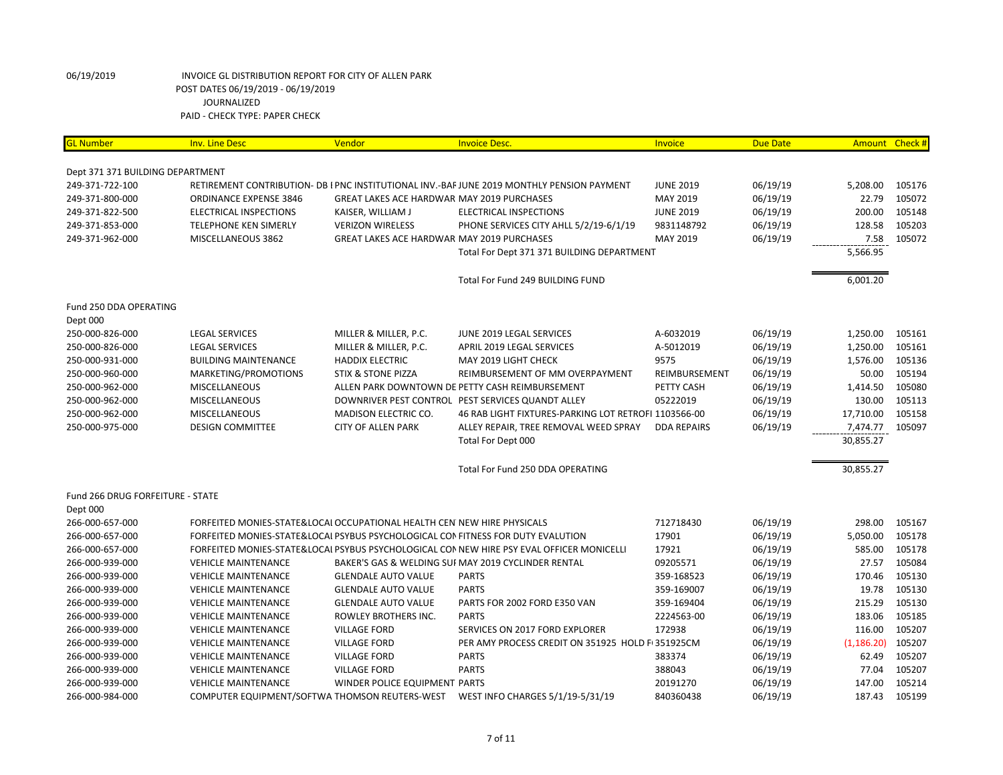| <b>GL Number</b>                 | <b>Inv. Line Desc</b>         | Vendor                                                                  | <b>Invoice Desc.</b>                                                                       | <b>Invoice</b>     | <b>Due Date</b> | Amount Check # |        |
|----------------------------------|-------------------------------|-------------------------------------------------------------------------|--------------------------------------------------------------------------------------------|--------------------|-----------------|----------------|--------|
| Dept 371 371 BUILDING DEPARTMENT |                               |                                                                         |                                                                                            |                    |                 |                |        |
| 249-371-722-100                  |                               |                                                                         | RETIREMENT CONTRIBUTION- DB I PNC INSTITUTIONAL INV.-BAF JUNE 2019 MONTHLY PENSION PAYMENT | <b>JUNE 2019</b>   | 06/19/19        | 5,208.00       | 105176 |
| 249-371-800-000                  | <b>ORDINANCE EXPENSE 3846</b> | GREAT LAKES ACE HARDWAR MAY 2019 PURCHASES                              |                                                                                            | MAY 2019           | 06/19/19        | 22.79          | 105072 |
| 249-371-822-500                  | ELECTRICAL INSPECTIONS        | KAISER, WILLIAM J                                                       | ELECTRICAL INSPECTIONS                                                                     | <b>JUNE 2019</b>   | 06/19/19        | 200.00         | 105148 |
| 249-371-853-000                  | TELEPHONE KEN SIMERLY         | <b>VERIZON WIRELESS</b>                                                 | PHONE SERVICES CITY AHLL 5/2/19-6/1/19                                                     | 9831148792         | 06/19/19        | 128.58         | 105203 |
| 249-371-962-000                  | MISCELLANEOUS 3862            | GREAT LAKES ACE HARDWAR MAY 2019 PURCHASES                              |                                                                                            | MAY 2019           | 06/19/19        | 7.58           | 105072 |
|                                  |                               |                                                                         | Total For Dept 371 371 BUILDING DEPARTMENT                                                 |                    |                 | 5,566.95       |        |
|                                  |                               |                                                                         | Total For Fund 249 BUILDING FUND                                                           |                    |                 | 6,001.20       |        |
| Fund 250 DDA OPERATING           |                               |                                                                         |                                                                                            |                    |                 |                |        |
| Dept 000                         |                               |                                                                         |                                                                                            |                    |                 |                |        |
| 250-000-826-000                  | <b>LEGAL SERVICES</b>         | MILLER & MILLER, P.C.                                                   | JUNE 2019 LEGAL SERVICES                                                                   | A-6032019          | 06/19/19        | 1,250.00       | 105161 |
| 250-000-826-000                  | <b>LEGAL SERVICES</b>         | MILLER & MILLER, P.C.                                                   | APRIL 2019 LEGAL SERVICES                                                                  | A-5012019          | 06/19/19        | 1,250.00       | 105161 |
| 250-000-931-000                  | <b>BUILDING MAINTENANCE</b>   | <b>HADDIX ELECTRIC</b>                                                  | MAY 2019 LIGHT CHECK                                                                       | 9575               | 06/19/19        | 1,576.00       | 105136 |
| 250-000-960-000                  | MARKETING/PROMOTIONS          | <b>STIX &amp; STONE PIZZA</b>                                           | REIMBURSEMENT OF MM OVERPAYMENT                                                            | REIMBURSEMENT      | 06/19/19        | 50.00          | 105194 |
| 250-000-962-000                  | <b>MISCELLANEOUS</b>          |                                                                         | ALLEN PARK DOWNTOWN DE PETTY CASH REIMBURSEMENT                                            | PETTY CASH         | 06/19/19        | 1,414.50       | 105080 |
| 250-000-962-000                  | <b>MISCELLANEOUS</b>          |                                                                         | DOWNRIVER PEST CONTROL PEST SERVICES QUANDT ALLEY                                          | 05222019           | 06/19/19        | 130.00         | 105113 |
| 250-000-962-000                  | <b>MISCELLANEOUS</b>          | MADISON ELECTRIC CO.                                                    | 46 RAB LIGHT FIXTURES-PARKING LOT RETROFI 1103566-00                                       |                    | 06/19/19        | 17,710.00      | 105158 |
| 250-000-975-000                  | <b>DESIGN COMMITTEE</b>       | <b>CITY OF ALLEN PARK</b>                                               | ALLEY REPAIR, TREE REMOVAL WEED SPRAY                                                      | <b>DDA REPAIRS</b> | 06/19/19        | 7,474.77       | 105097 |
|                                  |                               |                                                                         | Total For Dept 000                                                                         |                    |                 | 30,855.27      |        |
|                                  |                               |                                                                         | Total For Fund 250 DDA OPERATING                                                           |                    |                 | 30,855.27      |        |
| Fund 266 DRUG FORFEITURE - STATE |                               |                                                                         |                                                                                            |                    |                 |                |        |
| Dept 000<br>266-000-657-000      |                               | FORFEITED MONIES-STATE&LOCAI OCCUPATIONAL HEALTH CEN NEW HIRE PHYSICALS |                                                                                            | 712718430          | 06/19/19        | 298.00         | 105167 |
| 266-000-657-000                  |                               |                                                                         | FORFEITED MONIES-STATE&LOCAL PSYBUS PSYCHOLOGICAL CONFITNESS FOR DUTY EVALUTION            | 17901              | 06/19/19        | 5,050.00       | 105178 |
| 266-000-657-000                  |                               |                                                                         | FORFEITED MONIES-STATE&LOCAL PSYBUS PSYCHOLOGICAL CONNEW HIRE PSY EVAL OFFICER MONICELLI   | 17921              | 06/19/19        | 585.00         | 105178 |
| 266-000-939-000                  | <b>VEHICLE MAINTENANCE</b>    |                                                                         | BAKER'S GAS & WELDING SUI MAY 2019 CYCLINDER RENTAL                                        | 09205571           | 06/19/19        | 27.57          | 105084 |
| 266-000-939-000                  | <b>VEHICLE MAINTENANCE</b>    | <b>GLENDALE AUTO VALUE</b>                                              | <b>PARTS</b>                                                                               | 359-168523         |                 | 170.46         | 105130 |
| 266-000-939-000                  | <b>VEHICLE MAINTENANCE</b>    | <b>GLENDALE AUTO VALUE</b>                                              | <b>PARTS</b>                                                                               | 359-169007         | 06/19/19        | 19.78          | 105130 |
|                                  |                               |                                                                         | PARTS FOR 2002 FORD E350 VAN                                                               |                    | 06/19/19        | 215.29         | 105130 |
| 266-000-939-000                  | <b>VEHICLE MAINTENANCE</b>    | <b>GLENDALE AUTO VALUE</b>                                              |                                                                                            | 359-169404         | 06/19/19        |                |        |
| 266-000-939-000                  | <b>VEHICLE MAINTENANCE</b>    | ROWLEY BROTHERS INC.                                                    | <b>PARTS</b>                                                                               | 2224563-00         | 06/19/19        | 183.06         | 105185 |
| 266-000-939-000                  | <b>VEHICLE MAINTENANCE</b>    | <b>VILLAGE FORD</b>                                                     | SERVICES ON 2017 FORD EXPLORER                                                             | 172938             | 06/19/19        | 116.00         | 105207 |
| 266-000-939-000                  | <b>VEHICLE MAINTENANCE</b>    | <b>VILLAGE FORD</b>                                                     | PER AMY PROCESS CREDIT ON 351925 HOLD F 351925CM                                           |                    | 06/19/19        | (1, 186.20)    | 105207 |
| 266-000-939-000                  | <b>VEHICLE MAINTENANCE</b>    | <b>VILLAGE FORD</b>                                                     | <b>PARTS</b>                                                                               | 383374             | 06/19/19        | 62.49          | 105207 |
| 266-000-939-000                  | <b>VEHICLE MAINTENANCE</b>    | <b>VILLAGE FORD</b>                                                     | <b>PARTS</b>                                                                               | 388043             | 06/19/19        | 77.04          | 105207 |
| 266-000-939-000                  | <b>VEHICLE MAINTENANCE</b>    | WINDER POLICE EQUIPMENT PARTS                                           |                                                                                            | 20191270           | 06/19/19        | 147.00         | 105214 |
| 266-000-984-000                  |                               |                                                                         | COMPUTER EQUIPMENT/SOFTWA THOMSON REUTERS-WEST    VEST INFO CHARGES 5/1/19-5/31/19         | 840360438          | 06/19/19        | 187.43         | 105199 |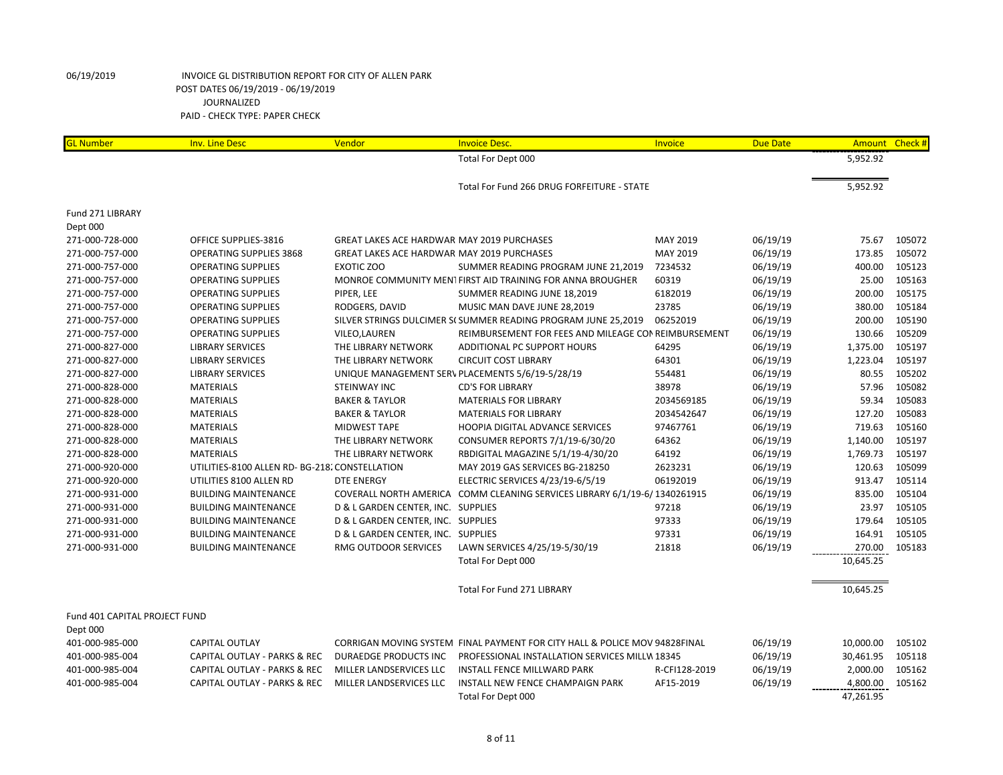| <b>GL Number</b>              | <b>Inv. Line Desc</b>                          | Vendor                                            | <b>Invoice Desc.</b>                                                       | Invoice       | <b>Due Date</b> | Amount Check # |        |
|-------------------------------|------------------------------------------------|---------------------------------------------------|----------------------------------------------------------------------------|---------------|-----------------|----------------|--------|
|                               |                                                |                                                   | Total For Dept 000                                                         |               |                 | 5,952.92       |        |
|                               |                                                |                                                   | Total For Fund 266 DRUG FORFEITURE - STATE                                 |               |                 | 5,952.92       |        |
| Fund 271 LIBRARY              |                                                |                                                   |                                                                            |               |                 |                |        |
| Dept 000                      |                                                |                                                   |                                                                            |               |                 |                |        |
| 271-000-728-000               | OFFICE SUPPLIES-3816                           | GREAT LAKES ACE HARDWAR MAY 2019 PURCHASES        |                                                                            | MAY 2019      | 06/19/19        | 75.67          | 105072 |
| 271-000-757-000               | <b>OPERATING SUPPLIES 3868</b>                 | <b>GREAT LAKES ACE HARDWAR MAY 2019 PURCHASES</b> |                                                                            | MAY 2019      | 06/19/19        | 173.85         | 105072 |
| 271-000-757-000               | <b>OPERATING SUPPLIES</b>                      | <b>EXOTIC ZOO</b>                                 | SUMMER READING PROGRAM JUNE 21,2019                                        | 7234532       | 06/19/19        | 400.00         | 105123 |
| 271-000-757-000               | <b>OPERATING SUPPLIES</b>                      |                                                   | MONROE COMMUNITY MENT FIRST AID TRAINING FOR ANNA BROUGHER                 | 60319         | 06/19/19        | 25.00          | 105163 |
| 271-000-757-000               | <b>OPERATING SUPPLIES</b>                      | PIPER, LEE                                        | SUMMER READING JUNE 18,2019                                                | 6182019       | 06/19/19        | 200.00         | 105175 |
| 271-000-757-000               | <b>OPERATING SUPPLIES</b>                      | RODGERS, DAVID                                    | MUSIC MAN DAVE JUNE 28,2019                                                | 23785         | 06/19/19        | 380.00         | 105184 |
| 271-000-757-000               | <b>OPERATING SUPPLIES</b>                      |                                                   | SILVER STRINGS DULCIMER S( SUMMER READING PROGRAM JUNE 25,2019             | 06252019      | 06/19/19        | 200.00         | 105190 |
| 271-000-757-000               | <b>OPERATING SUPPLIES</b>                      | VILEO, LAUREN                                     | REIMBURSEMENT FOR FEES AND MILEAGE CON REIMBURSEMENT                       |               | 06/19/19        | 130.66         | 105209 |
| 271-000-827-000               | <b>LIBRARY SERVICES</b>                        | THE LIBRARY NETWORK                               | ADDITIONAL PC SUPPORT HOURS                                                | 64295         | 06/19/19        | 1,375.00       | 105197 |
| 271-000-827-000               | <b>LIBRARY SERVICES</b>                        | THE LIBRARY NETWORK                               | <b>CIRCUIT COST LIBRARY</b>                                                | 64301         | 06/19/19        | 1,223.04       | 105197 |
| 271-000-827-000               | <b>LIBRARY SERVICES</b>                        |                                                   | UNIQUE MANAGEMENT SERV PLACEMENTS 5/6/19-5/28/19                           | 554481        | 06/19/19        | 80.55          | 105202 |
| 271-000-828-000               | <b>MATERIALS</b>                               | STEINWAY INC                                      | <b>CD'S FOR LIBRARY</b>                                                    | 38978         | 06/19/19        | 57.96          | 105082 |
| 271-000-828-000               | <b>MATERIALS</b>                               | <b>BAKER &amp; TAYLOR</b>                         | <b>MATERIALS FOR LIBRARY</b>                                               | 2034569185    | 06/19/19        | 59.34          | 105083 |
| 271-000-828-000               | <b>MATERIALS</b>                               | <b>BAKER &amp; TAYLOR</b>                         | <b>MATERIALS FOR LIBRARY</b>                                               | 2034542647    | 06/19/19        | 127.20         | 105083 |
| 271-000-828-000               | <b>MATERIALS</b>                               | <b>MIDWEST TAPE</b>                               | HOOPIA DIGITAL ADVANCE SERVICES                                            | 97467761      | 06/19/19        | 719.63         | 105160 |
| 271-000-828-000               | <b>MATERIALS</b>                               | THE LIBRARY NETWORK                               | CONSUMER REPORTS 7/1/19-6/30/20                                            | 64362         | 06/19/19        | 1,140.00       | 105197 |
| 271-000-828-000               | <b>MATERIALS</b>                               | THE LIBRARY NETWORK                               | RBDIGITAL MAGAZINE 5/1/19-4/30/20                                          | 64192         | 06/19/19        | 1,769.73       | 105197 |
| 271-000-920-000               | UTILITIES-8100 ALLEN RD- BG-218. CONSTELLATION |                                                   | MAY 2019 GAS SERVICES BG-218250                                            | 2623231       | 06/19/19        | 120.63         | 105099 |
| 271-000-920-000               | UTILITIES 8100 ALLEN RD                        | <b>DTE ENERGY</b>                                 | ELECTRIC SERVICES 4/23/19-6/5/19                                           | 06192019      | 06/19/19        | 913.47         | 105114 |
| 271-000-931-000               | <b>BUILDING MAINTENANCE</b>                    |                                                   | COVERALL NORTH AMERICA COMM CLEANING SERVICES LIBRARY 6/1/19-6/1340261915  |               | 06/19/19        | 835.00         | 105104 |
| 271-000-931-000               | <b>BUILDING MAINTENANCE</b>                    | D & L GARDEN CENTER, INC. SUPPLIES                |                                                                            | 97218         | 06/19/19        | 23.97          | 105105 |
| 271-000-931-000               | <b>BUILDING MAINTENANCE</b>                    | D & L GARDEN CENTER, INC. SUPPLIES                |                                                                            | 97333         | 06/19/19        | 179.64         | 105105 |
| 271-000-931-000               | <b>BUILDING MAINTENANCE</b>                    | D & L GARDEN CENTER, INC. SUPPLIES                |                                                                            | 97331         | 06/19/19        | 164.91         | 105105 |
| 271-000-931-000               | <b>BUILDING MAINTENANCE</b>                    | RMG OUTDOOR SERVICES                              | LAWN SERVICES 4/25/19-5/30/19                                              | 21818         | 06/19/19        | 270.00         | 105183 |
|                               |                                                |                                                   | Total For Dept 000                                                         |               |                 | 10,645.25      |        |
|                               |                                                |                                                   | <b>Total For Fund 271 LIBRARY</b>                                          |               |                 | 10,645.25      |        |
| Fund 401 CAPITAL PROJECT FUND |                                                |                                                   |                                                                            |               |                 |                |        |
| Dept 000                      |                                                |                                                   |                                                                            |               |                 |                |        |
| 401-000-985-000               | <b>CAPITAL OUTLAY</b>                          |                                                   | CORRIGAN MOVING SYSTEM FINAL PAYMENT FOR CITY HALL & POLICE MOV 94828FINAL |               | 06/19/19        | 10,000.00      | 105102 |
| 401-000-985-004               | CAPITAL OUTLAY - PARKS & REC                   | DURAEDGE PRODUCTS INC                             | PROFESSIONAL INSTALLATION SERVICES MILLW 18345                             |               | 06/19/19        | 30,461.95      | 105118 |
| 401-000-985-004               | CAPITAL OUTLAY - PARKS & REC                   | MILLER LANDSERVICES LLC                           | INSTALL FENCE MILLWARD PARK                                                | R-CFI128-2019 | 06/19/19        | 2,000.00       | 105162 |
| 401-000-985-004               | CAPITAL OUTLAY - PARKS & REC                   | MILLER LANDSERVICES LLC                           | INSTALL NEW FENCE CHAMPAIGN PARK                                           | AF15-2019     | 06/19/19        | 4,800.00       | 105162 |
|                               |                                                |                                                   | Total For Dept 000                                                         |               |                 | 47,261.95      |        |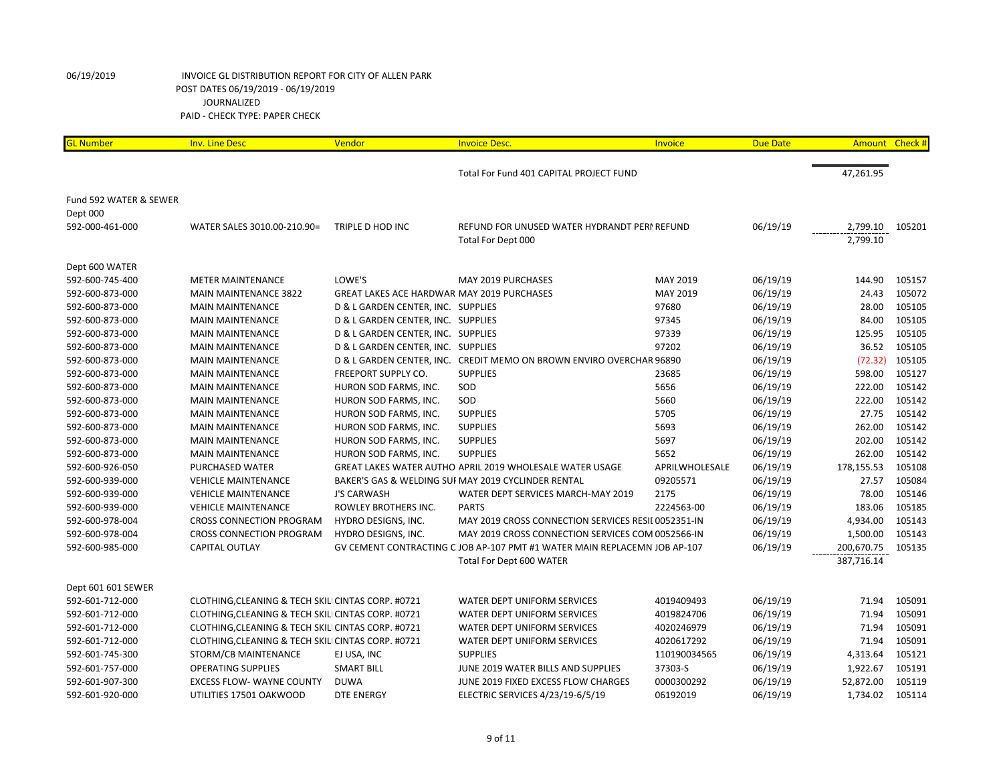| <b>GL Number</b>       | <b>Inv. Line Desc</b>                              | Vendor                                            | <b>Invoice Desc.</b>                                                      | Invoice        | <b>Due Date</b> | Amount Check # |        |
|------------------------|----------------------------------------------------|---------------------------------------------------|---------------------------------------------------------------------------|----------------|-----------------|----------------|--------|
|                        |                                                    |                                                   |                                                                           |                |                 |                |        |
|                        |                                                    |                                                   | Total For Fund 401 CAPITAL PROJECT FUND                                   |                |                 | 47,261.95      |        |
| Fund 592 WATER & SEWER |                                                    |                                                   |                                                                           |                |                 |                |        |
| Dept 000               |                                                    |                                                   |                                                                           |                |                 |                |        |
| 592-000-461-000        | WATER SALES 3010.00-210.90=                        | TRIPLE D HOD INC                                  | REFUND FOR UNUSED WATER HYDRANDT PERI REFUND                              |                | 06/19/19        | 2,799.10       | 105201 |
|                        |                                                    |                                                   | Total For Dept 000                                                        |                |                 | 2,799.10       |        |
|                        |                                                    |                                                   |                                                                           |                |                 |                |        |
| Dept 600 WATER         |                                                    |                                                   |                                                                           |                |                 |                |        |
| 592-600-745-400        | <b>METER MAINTENANCE</b>                           | LOWE'S                                            | MAY 2019 PURCHASES                                                        | MAY 2019       | 06/19/19        | 144.90         | 105157 |
| 592-600-873-000        | <b>MAIN MAINTENANCE 3822</b>                       | <b>GREAT LAKES ACE HARDWAR MAY 2019 PURCHASES</b> |                                                                           | MAY 2019       | 06/19/19        | 24.43          | 105072 |
| 592-600-873-000        | <b>MAIN MAINTENANCE</b>                            | D & L GARDEN CENTER, INC. SUPPLIES                |                                                                           | 97680          | 06/19/19        | 28.00          | 105105 |
| 592-600-873-000        | <b>MAIN MAINTENANCE</b>                            | D & L GARDEN CENTER, INC. SUPPLIES                |                                                                           | 97345          | 06/19/19        | 84.00          | 105105 |
| 592-600-873-000        | <b>MAIN MAINTENANCE</b>                            | D & L GARDEN CENTER, INC. SUPPLIES                |                                                                           | 97339          | 06/19/19        | 125.95         | 105105 |
| 592-600-873-000        | <b>MAIN MAINTENANCE</b>                            | D & L GARDEN CENTER, INC. SUPPLIES                |                                                                           | 97202          | 06/19/19        | 36.52          | 105105 |
| 592-600-873-000        | <b>MAIN MAINTENANCE</b>                            |                                                   | D & L GARDEN CENTER, INC. CREDIT MEMO ON BROWN ENVIRO OVERCHAR 96890      |                | 06/19/19        | (72.32)        | 105105 |
| 592-600-873-000        | <b>MAIN MAINTENANCE</b>                            | FREEPORT SUPPLY CO.                               | <b>SUPPLIES</b>                                                           | 23685          | 06/19/19        | 598.00         | 105127 |
| 592-600-873-000        | <b>MAIN MAINTENANCE</b>                            | HURON SOD FARMS, INC.                             | SOD                                                                       | 5656           | 06/19/19        | 222.00         | 105142 |
| 592-600-873-000        | <b>MAIN MAINTENANCE</b>                            | HURON SOD FARMS, INC.                             | SOD                                                                       | 5660           | 06/19/19        | 222.00         | 105142 |
| 592-600-873-000        | <b>MAIN MAINTENANCE</b>                            | HURON SOD FARMS, INC.                             | <b>SUPPLIES</b>                                                           | 5705           | 06/19/19        | 27.75          | 105142 |
| 592-600-873-000        | <b>MAIN MAINTENANCE</b>                            | HURON SOD FARMS, INC.                             | <b>SUPPLIES</b>                                                           | 5693           | 06/19/19        | 262.00         | 105142 |
| 592-600-873-000        | <b>MAIN MAINTENANCE</b>                            | HURON SOD FARMS, INC.                             | <b>SUPPLIES</b>                                                           | 5697           | 06/19/19        | 202.00         | 105142 |
| 592-600-873-000        | <b>MAIN MAINTENANCE</b>                            | HURON SOD FARMS, INC.                             | <b>SUPPLIES</b>                                                           | 5652           | 06/19/19        | 262.00         | 105142 |
| 592-600-926-050        | PURCHASED WATER                                    |                                                   | GREAT LAKES WATER AUTHO APRIL 2019 WHOLESALE WATER USAGE                  | APRILWHOLESALE | 06/19/19        | 178,155.53     | 105108 |
| 592-600-939-000        | <b>VEHICLE MAINTENANCE</b>                         |                                                   | BAKER'S GAS & WELDING SUI MAY 2019 CYCLINDER RENTAL                       | 09205571       | 06/19/19        | 27.57          | 105084 |
| 592-600-939-000        | <b>VEHICLE MAINTENANCE</b>                         | <b>J'S CARWASH</b>                                | WATER DEPT SERVICES MARCH-MAY 2019                                        | 2175           | 06/19/19        | 78.00          | 105146 |
| 592-600-939-000        | <b>VEHICLE MAINTENANCE</b>                         | ROWLEY BROTHERS INC.                              | <b>PARTS</b>                                                              | 2224563-00     | 06/19/19        | 183.06         | 105185 |
| 592-600-978-004        | <b>CROSS CONNECTION PROGRAM</b>                    | HYDRO DESIGNS, INC.                               | MAY 2019 CROSS CONNECTION SERVICES RESII 0052351-IN                       |                | 06/19/19        | 4,934.00       | 105143 |
| 592-600-978-004        | <b>CROSS CONNECTION PROGRAM</b>                    | HYDRO DESIGNS, INC.                               | MAY 2019 CROSS CONNECTION SERVICES COM 0052566-IN                         |                | 06/19/19        | 1,500.00       | 105143 |
| 592-600-985-000        | <b>CAPITAL OUTLAY</b>                              |                                                   | GV CEMENT CONTRACTING C JOB AP-107 PMT #1 WATER MAIN REPLACEMN JOB AP-107 |                | 06/19/19        | 200,670.75     | 105135 |
|                        |                                                    |                                                   | Total For Dept 600 WATER                                                  |                |                 | 387,716.14     |        |
| Dept 601 601 SEWER     |                                                    |                                                   |                                                                           |                |                 |                |        |
| 592-601-712-000        | CLOTHING, CLEANING & TECH SKILI CINTAS CORP. #0721 |                                                   | WATER DEPT UNIFORM SERVICES                                               | 4019409493     | 06/19/19        | 71.94          | 105091 |
| 592-601-712-000        | CLOTHING, CLEANING & TECH SKILI CINTAS CORP. #0721 |                                                   | WATER DEPT UNIFORM SERVICES                                               | 4019824706     | 06/19/19        | 71.94          | 105091 |
| 592-601-712-000        | CLOTHING, CLEANING & TECH SKILI CINTAS CORP. #0721 |                                                   | WATER DEPT UNIFORM SERVICES                                               | 4020246979     | 06/19/19        | 71.94          | 105091 |
| 592-601-712-000        | CLOTHING, CLEANING & TECH SKILI CINTAS CORP. #0721 |                                                   | WATER DEPT UNIFORM SERVICES                                               | 4020617292     | 06/19/19        | 71.94          | 105091 |
| 592-601-745-300        | STORM/CB MAINTENANCE                               | EJ USA, INC                                       | <b>SUPPLIES</b>                                                           | 110190034565   | 06/19/19        | 4,313.64       | 105121 |
| 592-601-757-000        | <b>OPERATING SUPPLIES</b>                          | <b>SMART BILL</b>                                 | JUNE 2019 WATER BILLS AND SUPPLIES                                        | 37303-S        | 06/19/19        | 1,922.67       | 105191 |
| 592-601-907-300        | <b>EXCESS FLOW- WAYNE COUNTY</b>                   | <b>DUWA</b>                                       | JUNE 2019 FIXED EXCESS FLOW CHARGES                                       | 0000300292     | 06/19/19        | 52,872.00      | 105119 |
| 592-601-920-000        | UTILITIES 17501 OAKWOOD                            | DTE ENERGY                                        | ELECTRIC SERVICES 4/23/19-6/5/19                                          | 06192019       | 06/19/19        | 1,734.02       | 105114 |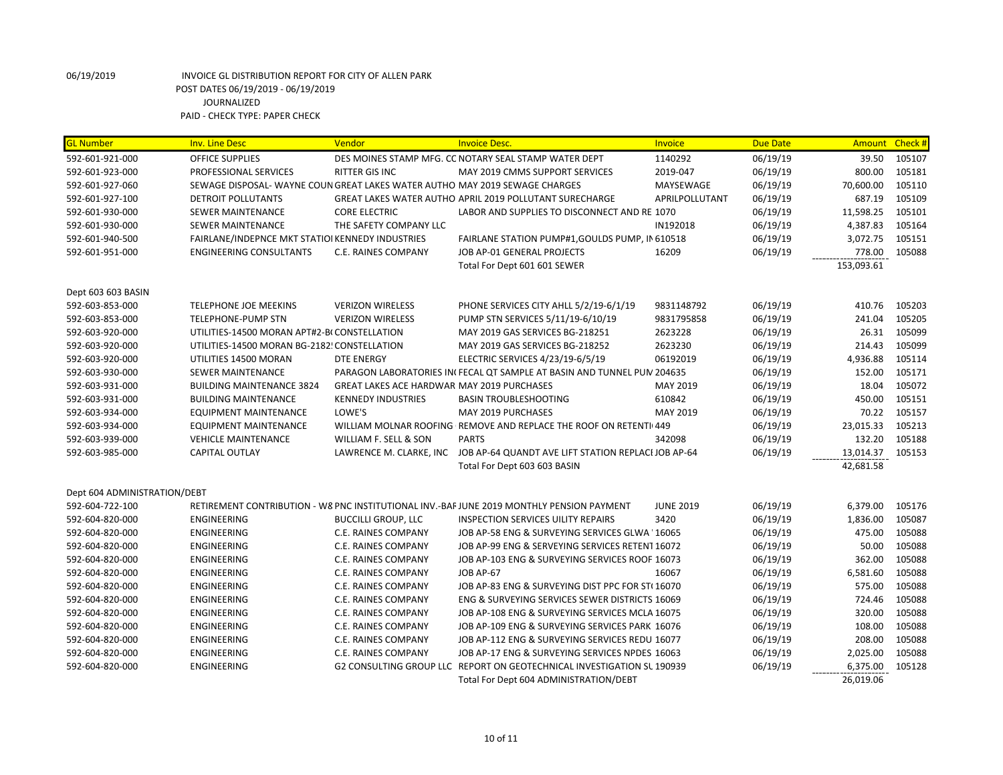| <b>GL Number</b>             | <b>Inv. Line Desc</b>                                                      | Vendor                                     | <b>Invoice Desc.</b>                                                                      | Invoice          | <b>Due Date</b> |            | Amount Check # |
|------------------------------|----------------------------------------------------------------------------|--------------------------------------------|-------------------------------------------------------------------------------------------|------------------|-----------------|------------|----------------|
| 592-601-921-000              | <b>OFFICE SUPPLIES</b>                                                     |                                            | DES MOINES STAMP MFG. CC NOTARY SEAL STAMP WATER DEPT                                     | 1140292          | 06/19/19        | 39.50      | 105107         |
| 592-601-923-000              | PROFESSIONAL SERVICES                                                      | <b>RITTER GIS INC</b>                      | MAY 2019 CMMS SUPPORT SERVICES                                                            | 2019-047         | 06/19/19        | 800.00     | 105181         |
| 592-601-927-060              | SEWAGE DISPOSAL-WAYNE COUN GREAT LAKES WATER AUTHO MAY 2019 SEWAGE CHARGES |                                            |                                                                                           | MAYSEWAGE        | 06/19/19        | 70,600.00  | 105110         |
| 592-601-927-100              | <b>DETROIT POLLUTANTS</b>                                                  |                                            | GREAT LAKES WATER AUTHO APRIL 2019 POLLUTANT SURECHARGE                                   | APRILPOLLUTANT   | 06/19/19        | 687.19     | 105109         |
| 592-601-930-000              | <b>SEWER MAINTENANCE</b>                                                   | <b>CORE ELECTRIC</b>                       | LABOR AND SUPPLIES TO DISCONNECT AND RE 1070                                              |                  | 06/19/19        | 11,598.25  | 105101         |
| 592-601-930-000              | <b>SEWER MAINTENANCE</b>                                                   | THE SAFETY COMPANY LLC                     |                                                                                           | IN192018         | 06/19/19        | 4,387.83   | 105164         |
| 592-601-940-500              | FAIRLANE/INDEPNCE MKT STATIOI KENNEDY INDUSTRIES                           |                                            | FAIRLANE STATION PUMP#1, GOULDS PUMP, IN 610518                                           |                  | 06/19/19        | 3,072.75   | 105151         |
| 592-601-951-000              | <b>ENGINEERING CONSULTANTS</b>                                             | C.E. RAINES COMPANY                        | JOB AP-01 GENERAL PROJECTS                                                                | 16209            | 06/19/19        | 778.00     | 105088         |
|                              |                                                                            |                                            | Total For Dept 601 601 SEWER                                                              |                  |                 | 153,093.61 |                |
| Dept 603 603 BASIN           |                                                                            |                                            |                                                                                           |                  |                 |            |                |
| 592-603-853-000              | <b>TELEPHONE JOE MEEKINS</b>                                               | <b>VERIZON WIRELESS</b>                    | PHONE SERVICES CITY AHLL 5/2/19-6/1/19                                                    | 9831148792       | 06/19/19        | 410.76     | 105203         |
| 592-603-853-000              | TELEPHONE-PUMP STN                                                         | <b>VERIZON WIRELESS</b>                    | PUMP STN SERVICES 5/11/19-6/10/19                                                         | 9831795858       | 06/19/19        | 241.04     | 105205         |
| 592-603-920-000              | UTILITIES-14500 MORAN APT#2-B(CONSTELLATION                                |                                            | MAY 2019 GAS SERVICES BG-218251                                                           | 2623228          | 06/19/19        | 26.31      | 105099         |
| 592-603-920-000              | UTILITIES-14500 MORAN BG-2182! CONSTELLATION                               |                                            | MAY 2019 GAS SERVICES BG-218252                                                           | 2623230          | 06/19/19        | 214.43     | 105099         |
| 592-603-920-000              | UTILITIES 14500 MORAN                                                      | <b>DTE ENERGY</b>                          | ELECTRIC SERVICES 4/23/19-6/5/19                                                          | 06192019         | 06/19/19        | 4,936.88   | 105114         |
| 592-603-930-000              | <b>SEWER MAINTENANCE</b>                                                   |                                            | PARAGON LABORATORIES IN FECAL QT SAMPLE AT BASIN AND TUNNEL PUN 204635                    |                  | 06/19/19        | 152.00     | 105171         |
| 592-603-931-000              | <b>BUILDING MAINTENANCE 3824</b>                                           | GREAT LAKES ACE HARDWAR MAY 2019 PURCHASES |                                                                                           | MAY 2019         | 06/19/19        | 18.04      | 105072         |
| 592-603-931-000              | <b>BUILDING MAINTENANCE</b>                                                | <b>KENNEDY INDUSTRIES</b>                  | <b>BASIN TROUBLESHOOTING</b>                                                              | 610842           | 06/19/19        | 450.00     | 105151         |
| 592-603-934-000              | <b>EQUIPMENT MAINTENANCE</b>                                               | LOWE'S                                     | MAY 2019 PURCHASES                                                                        | MAY 2019         | 06/19/19        | 70.22      | 105157         |
| 592-603-934-000              | <b>EQUIPMENT MAINTENANCE</b>                                               |                                            | WILLIAM MOLNAR ROOFING REMOVE AND REPLACE THE ROOF ON RETENTI 449                         |                  | 06/19/19        | 23,015.33  | 105213         |
| 592-603-939-000              | <b>VEHICLE MAINTENANCE</b>                                                 | WILLIAM F. SELL & SON                      | <b>PARTS</b>                                                                              | 342098           | 06/19/19        | 132.20     | 105188         |
| 592-603-985-000              | CAPITAL OUTLAY                                                             |                                            | LAWRENCE M. CLARKE, INC JOB AP-64 QUANDT AVE LIFT STATION REPLACI JOB AP-64               |                  | 06/19/19        | 13,014.37  | 105153         |
|                              |                                                                            |                                            | Total For Dept 603 603 BASIN                                                              |                  |                 | 42,681.58  |                |
| Dept 604 ADMINISTRATION/DEBT |                                                                            |                                            |                                                                                           |                  |                 |            |                |
| 592-604-722-100              |                                                                            |                                            | RETIREMENT CONTRIBUTION - W8 PNC INSTITUTIONAL INV.-BAF JUNE 2019 MONTHLY PENSION PAYMENT | <b>JUNE 2019</b> | 06/19/19        | 6,379.00   | 105176         |
| 592-604-820-000              | <b>ENGINEERING</b>                                                         | <b>BUCCILLI GROUP, LLC</b>                 | <b>INSPECTION SERVICES UILITY REPAIRS</b>                                                 | 3420             | 06/19/19        | 1,836.00   | 105087         |
| 592-604-820-000              | ENGINEERING                                                                | C.E. RAINES COMPANY                        | JOB AP-58 ENG & SURVEYING SERVICES GLWA 16065                                             |                  | 06/19/19        | 475.00     | 105088         |
| 592-604-820-000              | <b>ENGINEERING</b>                                                         | C.E. RAINES COMPANY                        | JOB AP-99 ENG & SERVEYING SERVICES RETENT 16072                                           |                  | 06/19/19        | 50.00      | 105088         |
| 592-604-820-000              | <b>ENGINEERING</b>                                                         | C.E. RAINES COMPANY                        | JOB AP-103 ENG & SURVEYING SERVICES ROOF 16073                                            |                  | 06/19/19        | 362.00     | 105088         |
| 592-604-820-000              | ENGINEERING                                                                | C.E. RAINES COMPANY                        | JOB AP-67                                                                                 | 16067            | 06/19/19        | 6,581.60   | 105088         |
| 592-604-820-000              | <b>ENGINEERING</b>                                                         | C.E. RAINES COMPANY                        | JOB AP-83 ENG & SURVEYING DIST PPC FOR ST(16070                                           |                  | 06/19/19        | 575.00     | 105088         |
| 592-604-820-000              | ENGINEERING                                                                | C.E. RAINES COMPANY                        | ENG & SURVEYING SERVICES SEWER DISTRICTS 16069                                            |                  | 06/19/19        | 724.46     | 105088         |
| 592-604-820-000              | ENGINEERING                                                                | C.E. RAINES COMPANY                        | JOB AP-108 ENG & SURVEYING SERVICES MCLA 16075                                            |                  | 06/19/19        | 320.00     | 105088         |
| 592-604-820-000              | ENGINEERING                                                                | C.E. RAINES COMPANY                        | JOB AP-109 ENG & SURVEYING SERVICES PARK 16076                                            |                  | 06/19/19        | 108.00     | 105088         |
| 592-604-820-000              | <b>ENGINEERING</b>                                                         | C.E. RAINES COMPANY                        | JOB AP-112 ENG & SURVEYING SERVICES REDU 16077                                            |                  | 06/19/19        | 208.00     | 105088         |
| 592-604-820-000              | <b>ENGINEERING</b>                                                         | C.E. RAINES COMPANY                        | JOB AP-17 ENG & SURVEYING SERVICES NPDES 16063                                            |                  | 06/19/19        | 2,025.00   | 105088         |
| 592-604-820-000              | ENGINEERING                                                                |                                            | G2 CONSULTING GROUP LLC REPORT ON GEOTECHNICAL INVESTIGATION SL 190939                    |                  | 06/19/19        | 6,375.00   | 105128         |
|                              |                                                                            |                                            | Total For Dept 604 ADMINISTRATION/DEBT                                                    |                  |                 | 26,019.06  |                |